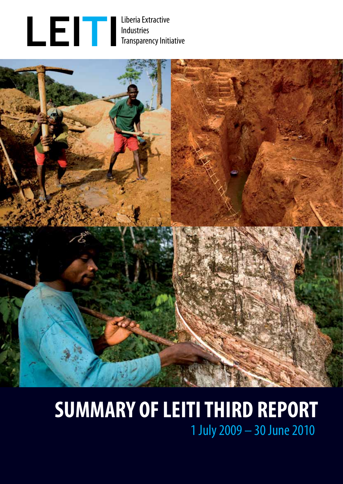



# **SUMMARY OF LEITI THIRD REPORT** 1 July 2009 – 30 June 2010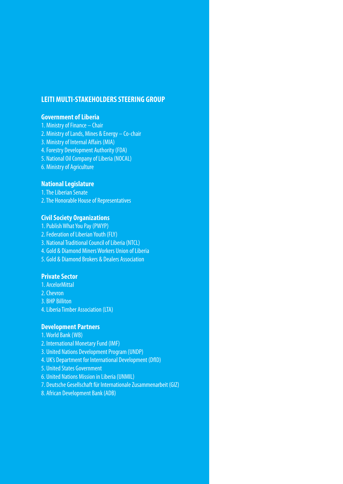### **LEITI MULTI-STAKEHOLDERS STEERING GROUP**

### **Government of Liberia**

- 1. Ministry of Finance Chair
- 2. Ministry of Lands, Mines & Energy Co-chair
- 3. Ministry of Internal Affairs (MIA)
- 4. Forestry Development Authority (FDA)
- 5. National Oil Company of Liberia (NOCAL)
- 6. Ministry of Agriculture

#### **National Legislature**

- 1. The Liberian Senate
- 2. The Honorable House of Representatives

#### **Civil Society Organizations**

- 1. Publish What You Pay (PWYP)
- 2. Federation of Liberian Youth (FLY)
- 3. National Traditional Council of Liberia (NTCL)
- 4. Gold & Diamond Miners Workers Union of Liberia
- 5. Gold & Diamond Brokers & Dealers Association

#### **Private Sector**

- 1. ArcelorMittal
- 2. Chevron
- 3. BHP Billiton
- 4. Liberia Timber Association (LTA)

#### **Development Partners**

- 1. World Bank (WB)
- 2. International Monetary Fund (IMF)
- 3. United Nations Development Program (UNDP)
- 4. UK's Department for International Development (DfID)
- 5. United States Government
- 6. United Nations Mission in Liberia (UNMIL)
- 7. Deutsche Gesellschaft für Internationale Zusammenarbeit (GIZ)
- 8. African Development Bank (ADB)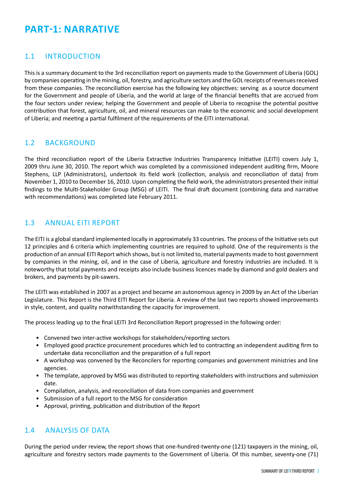# **PART-1: NARRATIVE**

### 1.1 INTRODUCTION

This is a summary document to the 3rd reconciliation report on payments made to the Government of Liberia (GOL) by companies operating in the mining, oil, forestry, and agriculture sectors and the GOL receipts of revenues received from these companies. The reconciliation exercise has the following key objectives: serving as a source document for the Government and people of Liberia, and the world at large of the financial benefits that are accrued from the four sectors under review; helping the Government and people of Liberia to recognise the potential positive contribution that forest, agriculture, oil, and mineral resources can make to the economic and social development of Liberia; and meeting a partial fulfilment of the requirements of the EITI international.

### 1.2 BACKGROUND

The third reconciliation report of the Liberia Extractive Industries Transparency Initiative (LEITI) covers July 1, 2009 thru June 30, 2010. The report which was completed by a commissioned independent auditing firm, Moore Stephens, LLP (Administrators), undertook its field work (collection, analysis and reconciliation of data) from November 1, 2010 to December 16, 2010. Upon completing the field work, the administrators presented their initial findings to the Multi-Stakeholder Group (MSG) of LEITI. The final draft document (combining data and narrative with recommendations) was completed late February 2011.

### 1.3 ANNUAL EITI REPORT

The EITI is a global standard implemented locally in approximately 33 countries. The process of the Initiative sets out 12 principles and 6 criteria which implementing countries are required to uphold. One of the requirements is the production of an annual EITI Report which shows, but is not limited to, material payments made to host government by companies in the mining, oil, and in the case of Liberia, agriculture and forestry industries are included. It is noteworthy that total payments and receipts also include business licences made by diamond and gold dealers and brokers, and payments by pit-sawers.

The LEITI was established in 2007 as a project and became an autonomous agency in 2009 by an Act of the Liberian Legislature. This Report is the Third EITI Report for Liberia. A review of the last two reports showed improvements in style, content, and quality notwithstanding the capacity for improvement.

The process leading up to the final LEITI 3rd Reconciliation Report progressed in the following order:

- Convened two inter-active workshops for stakeholders/reporting sectors
- Employed good practice procurement procedures which led to contracting an independent auditing firm to undertake data reconciliation and the preparation of a full report
- A workshop was convened by the Reconcilers for reporting companies and government ministries and line agencies.
- The template, approved by MSG was distributed to reporting stakeholders with instructions and submission date.
- Compilation, analysis, and reconciliation of data from companies and government
- Submission of a full report to the MSG for consideration
- Approval, printing, publication and distribution of the Report

### 1.4 ANALYSIS OF DATA

During the period under review, the report shows that one-hundred-twenty-one (121) taxpayers in the mining, oil, agriculture and forestry sectors made payments to the Government of Liberia. Of this number, seventy-one (71)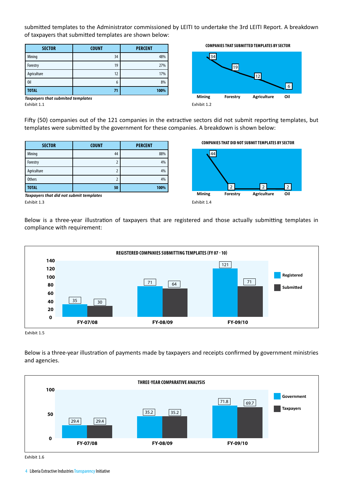submitted templates to the Administrator commissioned by LEITI to undertake the 3rd LEITI Report. A breakdown of taxpayers that submitted templates are shown below:

| <b>SECTOR</b> | <b>COUNT</b> | <b>PERCENT</b> |
|---------------|--------------|----------------|
| Mining        | 34           | 48%            |
| Forestry      | 19           | 27%            |
| Agriculture   | 12           | 17%            |
| 0il           | 6            | 8%             |
| <b>TOTAL</b>  | 71           | 100%           |

**Companiesthatsubmitted templates by Sector**



Exhibit 1.1 *Taxpayers that submited templates*

Fifty (50) companies out of the 121 companies in the extractive sectors did not submit reporting templates, but templates were submitted by the government for these companies. A breakdown is shown below:

| <b>SECTOR</b> | <b>COUNT</b> | <b>PERCENT</b> |
|---------------|--------------|----------------|
| Mining        | 44           | 88%            |
| Forestry      |              | 4%             |
| Agriculture   |              | 4%             |
| <b>Others</b> |              | 4%             |
| TOTAL         | 50           | 100%           |

**COMPANIES THAT DID NOT SUBMIT TEMPLATES BY SECTOR** 



Exhibit 1.3 *Taxpayers that did not submit templates*

Below is a three-year illustration of taxpayers that are registered and those actually submitting templates in compliance with requirement:



Exhibit 1.5

Below is a three-year illustration of payments made by taxpayers and receipts confirmed by government ministries and agencies.



Exhibit 1.6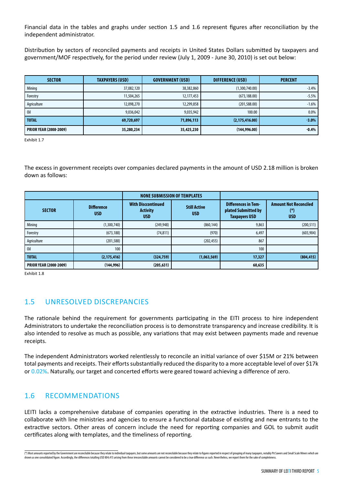Financial data in the tables and graphs under section 1.5 and 1.6 represent figures after reconciliation by the independent administrator.

Distribution by sectors of reconciled payments and receipts in United States Dollars submitted by taxpayers and government/MOF respectively, for the period under review (July 1, 2009 - June 30, 2010) is set out below:

| <b>SECTOR</b>                 | <b>TAXPAYERS (USD)</b> | <b>GOVERNMENT (USD)</b> | <b>DIFFERENCE (USD)</b> | <b>PERCENT</b> |
|-------------------------------|------------------------|-------------------------|-------------------------|----------------|
| Mining                        | 37,082,120             | 38,382,860              | (1,300,740.00)          | $-3.4%$        |
| Forestry                      | 11,504,265             | 12,177,453              | (673, 188.00)           | $-5.5%$        |
| Agriculture                   | 12,098,270             | 12,299,858              | (201, 588.00)           | $-1.6%$        |
| 0il                           | 9,036,042              | 9,035,942               | 100.00                  | 0.0%           |
| <b>TOTAL</b>                  | 69,720,697             | 71,896,113              | (2, 175, 416.00)        | $-3.0%$        |
| <b>PRIOR YEAR (2008-2009)</b> | 35,280,234             | 35,425,230              | (144, 996.00)           | $-0.4%$        |

Exhibit 1.7

The excess in government receipts over companies declared payments in the amount of USD 2.18 million is broken down as follows:

|                               |                                 |                                                            | <b>NONE SUBMISSION OF TEMPLATES</b> |                                                                           |                                                   |
|-------------------------------|---------------------------------|------------------------------------------------------------|-------------------------------------|---------------------------------------------------------------------------|---------------------------------------------------|
| <b>SECTOR</b>                 | <b>Difference</b><br><b>USD</b> | <b>With Disccontinued</b><br><b>Activity</b><br><b>USD</b> | <b>Still Active</b><br><b>USD</b>   | <b>Differences in Tem-</b><br>plated Submitted by<br><b>Taxpayers USD</b> | <b>Amount Not Reconciled</b><br>(*)<br><b>USD</b> |
| Mining                        | (1,300,740)                     | (249, 948)                                                 | (860, 144)                          | 9,863                                                                     | (200, 511)                                        |
| Forestry                      | (673, 188)                      | (74, 811)                                                  | (970)                               | 6,497                                                                     | (603, 904)                                        |
| Agriculture                   | (201, 588)                      |                                                            | (202, 455)                          | 867                                                                       |                                                   |
| 0il                           | 100                             |                                                            |                                     | 100                                                                       |                                                   |
| <b>TOTAL</b>                  | (2, 175, 416)                   | (324, 759)                                                 | (1,063,569)                         | 17,327                                                                    | (804, 415)                                        |
| <b>PRIOR YEAR (2008-2009)</b> | (144, 996)                      | (205, 631)                                                 |                                     | 60,635                                                                    |                                                   |

Exhibit 1.8

### 1.5 UNRESOLVED DISCREPANCIES

The rationale behind the requirement for governments participating in the EITI process to hire independent Administrators to undertake the reconciliation process is to demonstrate transparency and increase credibility. It is also intended to resolve as much as possible, any variations that may exist between payments made and revenue receipts.

The independent Administrators worked relentlessly to reconcile an initial variance of over \$15M or 21% between total payments and receipts. Their efforts substantially reduced the disparity to a more acceptable level of over \$17k or 0.02%. Naturally, our target and concerted efforts were geared toward achieving a difference of zero.

### 1.6 RECOMMENDATIONS

LEITI lacks a comprehensive database of companies operating in the extractive industries. There is a need to collaborate with line ministries and agencies to ensure a functional database of existing and new entrants to the extractive sectors. Other areas of concern include the need for reporting companies and GOL to submit audit certificates along with templates, and the timeliness of reporting.

<sup>(\*)</sup> Most amounts reported by the Government are reconcilable because they relate to individual taxpayers, but some amounts are not reconcilable because they relate to figures reported in respect of grouping of many taxpaye shown as one consolidated figure. Accordingly, the differences totalling USD 804,415 arising from these irreconcilable amounts cannot be considered to be a true difference as such. Nevertheless, we report them for the sake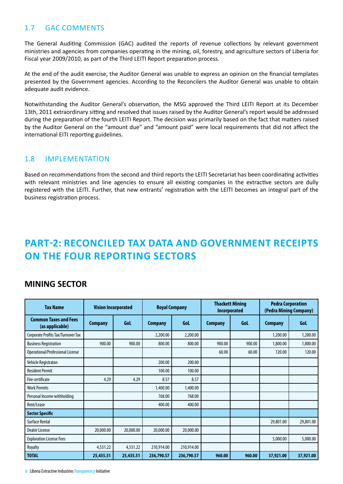### 1.7 GAC COMMENTS

The General Auditing Commission (GAC) audited the reports of revenue collections by relevant government ministries and agencies from companies operating in the mining, oil, forestry, and agriculture sectors of Liberia for Fiscal year 2009/2010, as part of the Third LEITI Report preparation process.

At the end of the audit exercise, the Auditor General was unable to express an opinion on the financial templates presented by the Government agencies. According to the Reconcilers the Auditor General was unable to obtain adequate audit evidence.

Notwithstanding the Auditor General's observation, the MSG approved the Third LEITI Report at its December 13th, 2011 extraordinary sitting and resolved that issues raised by the Auditor General's report would be addressed during the preparation of the fourth LEITI Report. The decision was primarily based on the fact that matters raised by the Auditor General on the "amount due" and "amount paid" were local requirements that did not affect the international EITI reporting guidelines.

### 1.8 IMPLEMENTATION

Based on recommendations from the second and third reports the LEITI Secretariat has been coordinating activities with relevant ministries and line agencies to ensure all existing companies in the extractive sectors are dully registered with the LEITI. Further, that new entrants' registration with the LEITI becomes an integral part of the business registration process.

# **PART-2: Reconciled tax data and government receipts on the four Reporting Sectors**

### **MINING SECTOR**

| <b>Tax Name</b>                                 | <b>Vision Incorporated</b> |           | <b>Royal Company</b> |            | <b>Thackett Mining</b><br>Incorporated |        | <b>Pedra Corporation</b><br>(Pedra Mining Company) |           |
|-------------------------------------------------|----------------------------|-----------|----------------------|------------|----------------------------------------|--------|----------------------------------------------------|-----------|
| <b>Common Taxes and Fees</b><br>(as applicable) | <b>Company</b>             | Gol       | <b>Company</b>       | <b>Gol</b> | <b>Company</b>                         | Gol    | <b>Company</b>                                     | GoL       |
| Corporate Profits Tax/Turnover Tax              |                            |           | 2,200.00             | 2,200.00   |                                        |        | 1,200.00                                           | 1,200.00  |
| <b>Business Registration</b>                    | 900.00                     | 900.00    | 800.00               | 800.00     | 900.00                                 | 900.00 | 1,800.00                                           | 1,800.00  |
| Operational/Professional License                |                            |           |                      |            | 60.00                                  | 60.00  | 120.00                                             | 120.00    |
| Vehicle Registraton                             |                            |           | 200.00               | 200.00     |                                        |        |                                                    |           |
| <b>Resident Permit</b>                          |                            |           | 100.00               | 100.00     |                                        |        |                                                    |           |
| Fire certificate                                | 4.29                       | 4.29      | 8.57                 | 8.57       |                                        |        |                                                    |           |
| <b>Work Permits</b>                             |                            |           | 1,400.00             | 1,400.00   |                                        |        |                                                    |           |
| Personal Income withholding                     |                            |           | 768.00               | 768.00     |                                        |        |                                                    |           |
| Rent/Lease                                      |                            |           | 400.00               | 400.00     |                                        |        |                                                    |           |
| <b>Sector Specific</b>                          |                            |           |                      |            |                                        |        |                                                    |           |
| <b>Surface Rental</b>                           |                            |           |                      |            |                                        |        | 29,801.00                                          | 29,801.00 |
| <b>Dealer License</b>                           | 20,000.00                  | 20,000.00 | 20,000.00            | 20,000.00  |                                        |        |                                                    |           |
| <b>Exploration License Fees</b>                 |                            |           |                      |            |                                        |        | 5,000.00                                           | 5,000.00  |
| Royalty                                         | 4,531.22                   | 4,531.22  | 210,914.00           | 210,914.00 |                                        |        |                                                    |           |
| <b>TOTAL</b>                                    | 25,435.51                  | 25,435.51 | 236,790.57           | 236,790.57 | 960.00                                 | 960.00 | 37,921.00                                          | 37,921.00 |

6 Liberia Extractive Industries Transparency Initiative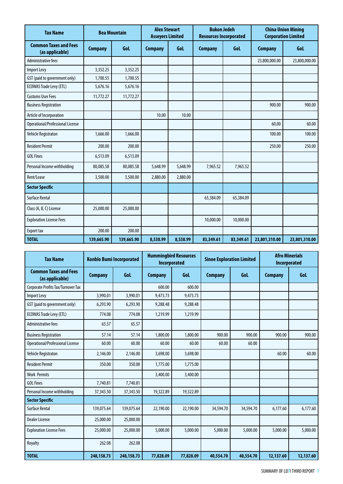| <b>Tax Name</b>                                 |                | <b>Bea Mountain</b> |                | <b>Bukon Jedeh</b><br><b>China Union Mining</b><br><b>Alex Stewart</b><br><b>Asseyers Limited</b><br><b>Resources Incorporated</b><br><b>Corporation Limited</b> |                |           |                |               |
|-------------------------------------------------|----------------|---------------------|----------------|------------------------------------------------------------------------------------------------------------------------------------------------------------------|----------------|-----------|----------------|---------------|
| <b>Common Taxes and Fees</b><br>(as applicable) | <b>Company</b> | GoL                 | <b>Company</b> | <b>Gol</b>                                                                                                                                                       | <b>Company</b> | GoL       | <b>Company</b> | <b>Gol</b>    |
| Administrative fees                             |                |                     |                |                                                                                                                                                                  |                |           | 23,800,000.00  | 23,800,000.00 |
| Import Levy                                     | 3,352.25       | 3,352.25            |                |                                                                                                                                                                  |                |           |                |               |
| GST (paid to government only)                   | 1,700.55       | 1,700.55            |                |                                                                                                                                                                  |                |           |                |               |
| <b>ECOWAS Trade Levy (ETL)</b>                  | 5,676.16       | 5,676.16            |                |                                                                                                                                                                  |                |           |                |               |
| <b>Customs User Fees</b>                        | 11,772.27      | 11,772.27           |                |                                                                                                                                                                  |                |           |                |               |
| <b>Business Registration</b>                    |                |                     |                |                                                                                                                                                                  |                |           | 900.00         | 900.00        |
| Article of Incorporation                        |                |                     | 10.00          | 10.00                                                                                                                                                            |                |           |                |               |
| Operational/Professional License                |                |                     |                |                                                                                                                                                                  |                |           | 60.00          | 60.00         |
| Vehicle Registraton                             | 1,666.00       | 1,666.00            |                |                                                                                                                                                                  |                |           | 100.00         | 100.00        |
| <b>Resident Permit</b>                          | 200.00         | 200.00              |                |                                                                                                                                                                  |                |           | 250.00         | 250.00        |
| <b>GOL Fines</b>                                | 6,513.09       | 6,513.09            |                |                                                                                                                                                                  |                |           |                |               |
| Personal Income withholding                     | 80,085.58      | 80,085.58           | 5,648.99       | 5,648.99                                                                                                                                                         | 7,965.52       | 7,965.52  |                |               |
| Rent/Lease                                      | 3,500.00       | 3,500.00            | 2,880.00       | 2,880.00                                                                                                                                                         |                |           |                |               |
| <b>Sector Specific</b>                          |                |                     |                |                                                                                                                                                                  |                |           |                |               |
| <b>Surface Rental</b>                           |                |                     |                |                                                                                                                                                                  | 65,384.09      | 65,384.09 |                |               |
| Class (A, B, C) License                         | 25,000.00      | 25,000.00           |                |                                                                                                                                                                  |                |           |                |               |
| <b>Exploration License Fees</b>                 |                |                     |                |                                                                                                                                                                  | 10,000.00      | 10,000.00 |                |               |
| Export tax                                      | 200.00         | 200.00              |                |                                                                                                                                                                  |                |           |                |               |
| <b>TOTAL</b>                                    | 139,665.90     | 139,665.90          | 8,538.99       | 8,538.99                                                                                                                                                         | 83,349.61      | 83,349.61 | 23,801,310.00  | 23,801,310.00 |

| <b>Tax Name</b>                                 | <b>Konblo Bumi Incorporated</b> |            | <b>Incorporated</b> | <b>Hummingbird Resources</b> | <b>Sinoe Exploration Limited</b> |           | <b>Afro Minerials</b><br>Incorporated |           |
|-------------------------------------------------|---------------------------------|------------|---------------------|------------------------------|----------------------------------|-----------|---------------------------------------|-----------|
| <b>Common Taxes and Fees</b><br>(as applicable) | <b>Company</b>                  | Gol        | <b>Company</b>      | Gol                          | <b>Company</b>                   | GoL       | <b>Company</b>                        | GoL       |
| Corporate Profits Tax/Turnover Tax              |                                 |            | 600.00              | 600.00                       |                                  |           |                                       |           |
| <b>Import Levy</b>                              | 3,990.01                        | 3,990.01   | 9,473.73            | 9,473.73                     |                                  |           |                                       |           |
| GST (paid to government only)                   | 6,293.90                        | 6,293.90   | 9,288.48            | 9,288.48                     |                                  |           |                                       |           |
| <b>ECOWAS Trade Levy (ETL)</b>                  | 774.08                          | 774.08     | 1,219.99            | 1,219.99                     |                                  |           |                                       |           |
| Administrative fees                             | 65.57                           | 65.57      |                     |                              |                                  |           |                                       |           |
| <b>Business Registration</b>                    | 57.14                           | 57.14      | 1,800.00            | 1,800.00                     | 900.00                           | 900.00    | 900.00                                | 900.00    |
| Operational/Professional License                | 60.00                           | 60.00      | 60.00               | 60.00                        | 60.00                            | 60.00     |                                       |           |
| Vehicle Registraton                             | 2,146.00                        | 2,146.00   | 3,698.00            | 3,698.00                     |                                  |           | 60.00                                 | 60.00     |
| <b>Resident Permit</b>                          | 350.00                          | 350.00     | 1,775.00            | 1,775.00                     |                                  |           |                                       |           |
| <b>Work Permits</b>                             |                                 |            | 3,400.00            | 3,400.00                     |                                  |           |                                       |           |
| <b>GOL Fines</b>                                | 7,740.81                        | 7,740.81   |                     |                              |                                  |           |                                       |           |
| Personal Income withholding                     | 37,343.50                       | 37,343.50  | 19,322.89           | 19,322.89                    |                                  |           |                                       |           |
| <b>Sector Specific</b>                          |                                 |            |                     |                              |                                  |           |                                       |           |
| <b>Surface Rental</b>                           | 139,075.64                      | 139,075.64 | 22,190.00           | 22,190.00                    | 34,594.70                        | 34,594.70 | 6,177.60                              | 6,177.60  |
| Dealer License                                  | 25,000.00                       | 25,000.00  |                     |                              |                                  |           |                                       |           |
| <b>Exploration License Fees</b>                 | 25,000.00                       | 25,000.00  | 5,000.00            | 5,000.00                     | 5,000.00                         | 5,000.00  | 5,000.00                              | 5,000.00  |
| Royalty                                         | 262.08                          | 262.08     |                     |                              |                                  |           |                                       |           |
| <b>TOTAL</b>                                    | 248,158.73                      | 248,158.73 | 77,828.09           | 77,828.09                    | 40,554.70                        | 40,554.70 | 12,137.60                             | 12,137.60 |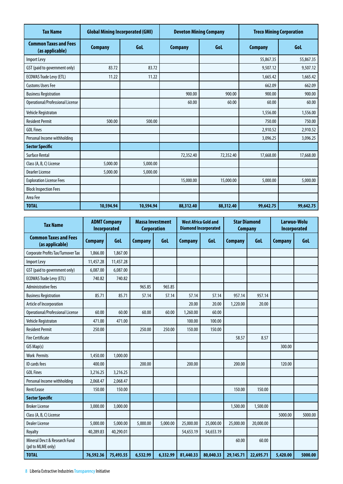| <b>Tax Name</b>                                 | <b>Global Mining Incorporated (GMI)</b> |           |                | <b>Deveton Mining Company</b> |                | <b>Treco Mining Corporation</b> |
|-------------------------------------------------|-----------------------------------------|-----------|----------------|-------------------------------|----------------|---------------------------------|
| <b>Common Taxes and Fees</b><br>(as applicable) | <b>Company</b>                          | GoL       | <b>Company</b> | Gol                           | <b>Company</b> | <b>Gol</b>                      |
| Import Levy                                     |                                         |           |                |                               | 55,867.35      | 55,867.35                       |
| GST (paid to government only)                   | 83.72                                   | 83.72     |                |                               | 9,507.12       | 9,507.12                        |
| <b>ECOWAS Trade Levy (ETL)</b>                  | 11.22                                   | 11.22     |                |                               | 1,665.42       | 1,665.42                        |
| <b>Customs Users Fee</b>                        |                                         |           |                |                               | 662.09         | 662.09                          |
| <b>Business Registration</b>                    |                                         |           | 900.00         | 900.00                        | 900.00         | 900.00                          |
| Operational/Professional License                |                                         |           | 60.00          | 60.00                         | 60.00          | 60.00                           |
| Vehicle Registraton                             |                                         |           |                |                               | 1,556.00       | 1,556.00                        |
| <b>Resident Permit</b>                          | 500.00                                  | 500.00    |                |                               | 750.00         | 750.00                          |
| <b>GOL Fines</b>                                |                                         |           |                |                               | 2,910.52       | 2,910.52                        |
| Personal Income withholding                     |                                         |           |                |                               | 3,096.25       | 3,096.25                        |
| <b>Sector Specific</b>                          |                                         |           |                |                               |                |                                 |
| <b>Surface Rental</b>                           |                                         |           | 72,352.40      | 72,352.40                     | 17,668.00      | 17,668.00                       |
| Class (A, B, C) License                         | 5,000.00                                | 5,000.00  |                |                               |                |                                 |
| <b>Dearler License</b>                          | 5,000.00                                | 5,000.00  |                |                               |                |                                 |
| <b>Exploration License Fees</b>                 |                                         |           | 15,000.00      | 15,000.00                     | 5,000.00       | 5,000.00                        |
| <b>Block Inspection Fees</b>                    |                                         |           |                |                               |                |                                 |
| Area Fee                                        |                                         |           |                |                               |                |                                 |
| <b>TOTAL</b>                                    | 10,594.94                               | 10,594.94 | 88,312.40      | 88,312.40                     | 99,642.75      | 99,642.75                       |

| <b>Tax Name</b>                                    | <b>ADMT Company</b><br>Incorporated |             | <b>Massa Investment</b><br><b>Corporation</b> |          | <b>West Africa Gold and</b> | <b>Diamond Incorporated</b> | <b>Star Diamond</b><br><b>Company</b> |           | Larwuo-Wolu<br>Incorporated |         |
|----------------------------------------------------|-------------------------------------|-------------|-----------------------------------------------|----------|-----------------------------|-----------------------------|---------------------------------------|-----------|-----------------------------|---------|
| <b>Common Taxes and Fees</b><br>(as applicable)    | <b>Company</b>                      | <b>Gol.</b> | <b>Company</b>                                | Gol      | <b>Company</b>              | GoL                         | <b>Company</b>                        | GoL       | <b>Company</b>              | GoL     |
| Corporate Profits Tax/Turnover Tax                 | 1,866.00                            | 1,867.00    |                                               |          |                             |                             |                                       |           |                             |         |
| Import Levy                                        | 11,457.28                           | 11,457.28   |                                               |          |                             |                             |                                       |           |                             |         |
| GST (paid to government only)                      | 6,087.00                            | 6,087.00    |                                               |          |                             |                             |                                       |           |                             |         |
| <b>ECOWAS Trade Levy (ETL)</b>                     | 740.82                              | 740.82      |                                               |          |                             |                             |                                       |           |                             |         |
| Administrative fees                                |                                     |             | 965.85                                        | 965.85   |                             |                             |                                       |           |                             |         |
| <b>Business Registration</b>                       | 85.71                               | 85.71       | 57.14                                         | 57.14    | 57.14                       | 57.14                       | 957.14                                | 957.14    |                             |         |
| Article of Incorporation                           |                                     |             |                                               |          | 20.00                       | 20.00                       | 1,220.00                              | 20.00     |                             |         |
| Operational/Professional License                   | 60.00                               | 60.00       | 60.00                                         | 60.00    | 1,260.00                    | 60.00                       |                                       |           |                             |         |
| Vehicle Registraton                                | 471.00                              | 471.00      |                                               |          | 100.00                      | 100.00                      |                                       |           |                             |         |
| <b>Resident Permit</b>                             | 250.00                              |             | 250.00                                        | 250.00   | 150.00                      | 150.00                      |                                       |           |                             |         |
| <b>Fire Certificate</b>                            |                                     |             |                                               |          |                             |                             | 58.57                                 | 8.57      |                             |         |
| GIS Map(s)                                         |                                     |             |                                               |          |                             |                             |                                       |           | 300.00                      |         |
| <b>Work Permits</b>                                | 1,450.00                            | 1,000.00    |                                               |          |                             |                             |                                       |           |                             |         |
| <b>ID</b> cards fees                               | 400.00                              |             | 200.00                                        |          | 200.00                      |                             | 200.00                                |           | 120.00                      |         |
| <b>GOL Fines</b>                                   | 3,216.25                            | 3,216.25    |                                               |          |                             |                             |                                       |           |                             |         |
| Personal Income withholding                        | 2,068.47                            | 2,068.47    |                                               |          |                             |                             |                                       |           |                             |         |
| Rent/Lease                                         | 150.00                              | 150.00      |                                               |          |                             |                             | 150.00                                | 150.00    |                             |         |
| <b>Sector Specific</b>                             |                                     |             |                                               |          |                             |                             |                                       |           |                             |         |
| <b>Broker License</b>                              | 3,000.00                            | 3,000.00    |                                               |          |                             |                             | 1,500.00                              | 1,500.00  |                             |         |
| Class (A, B, C) License                            |                                     |             |                                               |          |                             |                             |                                       |           | 5000.00                     | 5000.00 |
| Dealer License                                     | 5,000.00                            | 5,000.00    | 5,000.00                                      | 5,000.00 | 25,000.00                   | 25,000.00                   | 25,000.00                             | 20,000.00 |                             |         |
| Royalty                                            | 40,289.83                           | 40,290.01   |                                               |          | 54,653.19                   | 54,653.19                   |                                       |           |                             |         |
| Mineral Dev.t & Research Fund<br>(pd to MLME only) |                                     |             |                                               |          |                             |                             | 60.00                                 | 60.00     |                             |         |
| <b>TOTAL</b>                                       | 76,592.36                           | 75,493.55   | 6,532.99                                      | 6,332.99 | 81,440.33                   | 80,040.33                   | 29,145.71                             | 22,695.71 | 5,420.00                    | 5000.00 |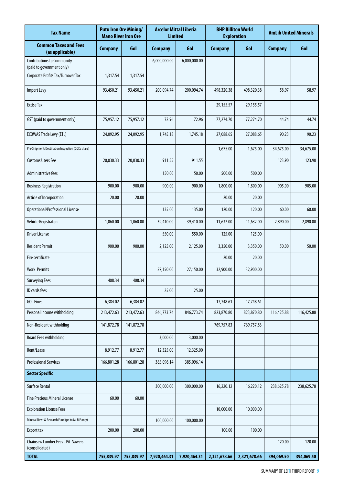| <b>Tax Name</b>                                                |                | <b>Putu Iron Ore Mining/</b><br><b>Mano River Iron Ore</b> | <b>Arcelor Mittal Liberia</b><br><b>Limited</b> |              | <b>BHP Billiton World</b><br><b>Exploration</b> |              | <b>AmLib United Minerals</b> |            |
|----------------------------------------------------------------|----------------|------------------------------------------------------------|-------------------------------------------------|--------------|-------------------------------------------------|--------------|------------------------------|------------|
| <b>Common Taxes and Fees</b><br>(as applicable)                | <b>Company</b> | GoL                                                        | <b>Company</b>                                  | Gol          | <b>Company</b>                                  | GoL          | <b>Company</b>               | GoL        |
| <b>Contributions to Community</b><br>(paid to government only) |                |                                                            | 6,000,000.00                                    | 6,000,000.00 |                                                 |              |                              |            |
| Corporate Profits Tax/Turnover Tax                             | 1,317.54       | 1,317.54                                                   |                                                 |              |                                                 |              |                              |            |
| <b>Import Levy</b>                                             | 93,450.21      | 93,450.21                                                  | 200,094.74                                      | 200,094.74   | 498,320.38                                      | 498,320.38   | 58.97                        | 58.97      |
| <b>Excise Tax</b>                                              |                |                                                            |                                                 |              | 29,155.57                                       | 29,155.57    |                              |            |
| GST (paid to government only)                                  | 75,957.12      | 75,957.12                                                  | 72.96                                           | 72.96        | 77,274.70                                       | 77,274.70    | 44.74                        | 44.74      |
| <b>ECOWAS Trade Levy (ETL)</b>                                 | 24,092.95      | 24,092.95                                                  | 1,745.18                                        | 1,745.18     | 27,088.65                                       | 27,088.65    | 90.23                        | 90.23      |
| Pre-Shipment/Destination Inspection (GOL's share)              |                |                                                            |                                                 |              | 1,675.00                                        | 1,675.00     | 34,675.00                    | 34,675.00  |
| <b>Customs Users Fee</b>                                       | 20,030.33      | 20,030.33                                                  | 911.55                                          | 911.55       |                                                 |              | 123.90                       | 123.90     |
| Administrative fees                                            |                |                                                            | 150.00                                          | 150.00       | 500.00                                          | 500.00       |                              |            |
| <b>Business Registration</b>                                   | 900.00         | 900.00                                                     | 900.00                                          | 900.00       | 1,800.00                                        | 1,800.00     | 905.00                       | 905.00     |
| Article of Incorporation                                       | 20.00          | 20.00                                                      |                                                 |              | 20.00                                           | 20.00        |                              |            |
| Operational/Professional License                               |                |                                                            | 135.00                                          | 135.00       | 120.00                                          | 120.00       | 60.00                        | 60.00      |
| Vehicle Registraton                                            | 1,060.00       | 1,060.00                                                   | 39,410.00                                       | 39,410.00    | 11,632.00                                       | 11,632.00    | 2,890.00                     | 2,890.00   |
| <b>Driver License</b>                                          |                |                                                            | 550.00                                          | 550.00       | 125.00                                          | 125.00       |                              |            |
| <b>Resident Permit</b>                                         | 900.00         | 900.00                                                     | 2,125.00                                        | 2,125.00     | 3,350.00                                        | 3,350.00     | 50.00                        | 50.00      |
| Fire certificate                                               |                |                                                            |                                                 |              | 20.00                                           | 20.00        |                              |            |
| <b>Work Permits</b>                                            |                |                                                            | 27,150.00                                       | 27,150.00    | 32,900.00                                       | 32,900.00    |                              |            |
| <b>Surveying Fees</b>                                          | 408.34         | 408.34                                                     |                                                 |              |                                                 |              |                              |            |
| ID cards fees                                                  |                |                                                            | 25.00                                           | 25.00        |                                                 |              |                              |            |
| <b>GOL Fines</b>                                               | 6,384.02       | 6,384.02                                                   |                                                 |              | 17,748.61                                       | 17,748.61    |                              |            |
| Personal Income withholding                                    | 213,472.63     | 213,472.63                                                 | 846,773.74                                      | 846,773.74   | 823,870.80                                      | 823,870.80   | 116,425.88                   | 116,425.88 |
| Non-Resident withholding                                       | 141,872.78     | 141,872.78                                                 |                                                 |              | 769,757.83                                      | 769,757.83   |                              |            |
| <b>Board Fees withholding</b>                                  |                |                                                            | 3,000.00                                        | 3,000.00     |                                                 |              |                              |            |
| Rent/Lease                                                     | 8,912.77       | 8,912.77                                                   | 12,325.00                                       | 12,325.00    |                                                 |              |                              |            |
| <b>Professional Services</b>                                   | 166,801.28     | 166,801.28                                                 | 385,096.14                                      | 385,096.14   |                                                 |              |                              |            |
| <b>Sector Specific</b>                                         |                |                                                            |                                                 |              |                                                 |              |                              |            |
| <b>Surface Rental</b>                                          |                |                                                            | 300,000.00                                      | 300,000.00   | 16,220.12                                       | 16,220.12    | 238,625.78                   | 238,625.78 |
| <b>Fine Precious Mineral License</b>                           | 60.00          | 60.00                                                      |                                                 |              |                                                 |              |                              |            |
| <b>Exploration License Fees</b>                                |                |                                                            |                                                 |              | 10,000.00                                       | 10,000.00    |                              |            |
| Mineral Dev.t & Research Fund (pd to MLME only)                |                |                                                            | 100,000.00                                      | 100,000.00   |                                                 |              |                              |            |
| <b>Export tax</b>                                              | 200.00         | 200.00                                                     |                                                 |              | 100.00                                          | 100.00       |                              |            |
| Chainsaw Lumber Fees - Pit Sawers<br>(consolidated)            |                |                                                            |                                                 |              |                                                 |              | 120.00                       | 120.00     |
| <b>TOTAL</b>                                                   | 755,839.97     | 755,839.97                                                 | 7,920,464.31                                    | 7,920,464.31 | 2,321,678.66                                    | 2,321,678.66 | 394,069.50                   | 394,069.50 |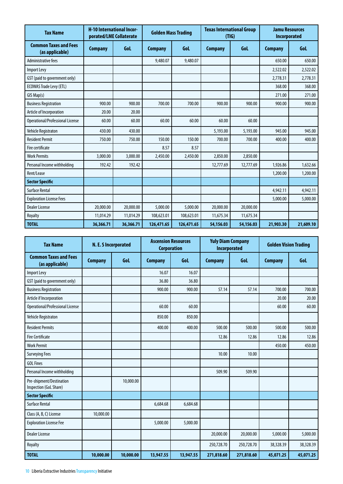| <b>Tax Name</b>                                 | <b>H-10 International Incor-</b><br>porated/LME Collaterate |           | <b>Golden Mass Trading</b> |            | <b>Texas International Group</b><br>(TIG) |            | <b>Jamu Resources</b><br>Incorporated |           |
|-------------------------------------------------|-------------------------------------------------------------|-----------|----------------------------|------------|-------------------------------------------|------------|---------------------------------------|-----------|
| <b>Common Taxes and Fees</b><br>(as applicable) | <b>Company</b>                                              | GoL       | <b>Company</b>             | GoL        | <b>Company</b>                            | <b>Gol</b> | <b>Company</b>                        | GoL       |
| <b>Administrative fees</b>                      |                                                             |           | 9,480.07                   | 9,480.07   |                                           |            | 650.00                                | 650.00    |
| Import Levy                                     |                                                             |           |                            |            |                                           |            | 2,522.02                              | 2,522.02  |
| GST (paid to government only)                   |                                                             |           |                            |            |                                           |            | 2,778.31                              | 2,778.31  |
| <b>ECOWAS Trade Levy (ETL)</b>                  |                                                             |           |                            |            |                                           |            | 368.00                                | 368.00    |
| GIS Map(s)                                      |                                                             |           |                            |            |                                           |            | 271.00                                | 271.00    |
| <b>Business Registration</b>                    | 900.00                                                      | 900.00    | 700.00                     | 700.00     | 900.00                                    | 900.00     | 900.00                                | 900.00    |
| Article of Incorporation                        | 20.00                                                       | 20.00     |                            |            |                                           |            |                                       |           |
| Operational/Professional License                | 60.00                                                       | 60.00     | 60.00                      | 60.00      | 60.00                                     | 60.00      |                                       |           |
| Vehicle Registraton                             | 430.00                                                      | 430.00    |                            |            | 5,193.00                                  | 5,193.00   | 945.00                                | 945.00    |
| <b>Resident Permit</b>                          | 750.00                                                      | 750.00    | 150.00                     | 150.00     | 700.00                                    | 700.00     | 400.00                                | 400.00    |
| Fire certificate                                |                                                             |           | 8.57                       | 8.57       |                                           |            |                                       |           |
| <b>Work Permits</b>                             | 3,000.00                                                    | 3,000.00  | 2,450.00                   | 2,450.00   | 2,850.00                                  | 2,850.00   |                                       |           |
| Personal Income withholding                     | 192.42                                                      | 192.42    |                            |            | 12,777.69                                 | 12,777.69  | 1,926.86                              | 1,632.66  |
| Rent/Lease                                      |                                                             |           |                            |            |                                           |            | 1,200.00                              | 1,200.00  |
| <b>Sector Specific</b>                          |                                                             |           |                            |            |                                           |            |                                       |           |
| <b>Surface Rental</b>                           |                                                             |           |                            |            |                                           |            | 4,942.11                              | 4,942.11  |
| <b>Exploration License Fees</b>                 |                                                             |           |                            |            |                                           |            | 5,000.00                              | 5,000.00  |
| <b>Dealer License</b>                           | 20,000.00                                                   | 20,000.00 | 5,000.00                   | 5,000.00   | 20,000.00                                 | 20,000.00  |                                       |           |
| Royalty                                         | 11,014.29                                                   | 11,014.29 | 108,623.01                 | 108,623.01 | 11,675.34                                 | 11,675.34  |                                       |           |
| <b>TOTAL</b>                                    | 36,366.71                                                   | 36,366.71 | 126,471.65                 | 126,471.65 | 54,156.03                                 | 54,156.03  | 21,903.30                             | 21,609.10 |

| <b>Tax Name</b>                                    | N. E. S Incorporated |           |                | <b>Ascension Resources</b><br><b>Yuly Diam Company</b><br><b>Corporation</b><br><b>Incorporated</b> |                | <b>Golden Vision Trading</b> |                |           |
|----------------------------------------------------|----------------------|-----------|----------------|-----------------------------------------------------------------------------------------------------|----------------|------------------------------|----------------|-----------|
| <b>Common Taxes and Fees</b><br>(as applicable)    | <b>Company</b>       | GoL       | <b>Company</b> | GoL                                                                                                 | <b>Company</b> | GoL                          | <b>Company</b> | GoL       |
| Import Levy                                        |                      |           | 16.07          | 16.07                                                                                               |                |                              |                |           |
| GST (paid to government only)                      |                      |           | 36.80          | 36.80                                                                                               |                |                              |                |           |
| <b>Business Registration</b>                       |                      |           | 900.00         | 900.00                                                                                              | 57.14          | 57.14                        | 700.00         | 700.00    |
| Article if Incorporation                           |                      |           |                |                                                                                                     |                |                              | 20.00          | 20.00     |
| Operational/Professional License                   |                      |           | 60.00          | 60.00                                                                                               |                |                              | 60.00          | 60.00     |
| <b>Vehicle Registraton</b>                         |                      |           | 850.00         | 850.00                                                                                              |                |                              |                |           |
| <b>Resident Permits</b>                            |                      |           | 400.00         | 400.00                                                                                              | 500.00         | 500.00                       | 500.00         | 500.00    |
| <b>Fire Certificate</b>                            |                      |           |                |                                                                                                     | 12.86          | 12.86                        | 12.86          | 12.86     |
| <b>Work Permit</b>                                 |                      |           |                |                                                                                                     |                |                              | 450.00         | 450.00    |
| <b>Surveying Fees</b>                              |                      |           |                |                                                                                                     | 10.00          | 10.00                        |                |           |
| <b>GOL Fines</b>                                   |                      |           |                |                                                                                                     |                |                              |                |           |
| Personal Income withholding                        |                      |           |                |                                                                                                     | 509.90         | 509.90                       |                |           |
| Pre-shipment/Destination<br>Inspection (GoL Share) |                      | 10,000.00 |                |                                                                                                     |                |                              |                |           |
| <b>Sector Specific</b>                             |                      |           |                |                                                                                                     |                |                              |                |           |
| <b>Surface Rental</b>                              |                      |           | 6,684.68       | 6,684.68                                                                                            |                |                              |                |           |
| Class (A, B, C) License                            | 10,000.00            |           |                |                                                                                                     |                |                              |                |           |
| <b>Exploration License Fee</b>                     |                      |           | 5,000.00       | 5,000.00                                                                                            |                |                              |                |           |
| <b>Dealer License</b>                              |                      |           |                |                                                                                                     | 20,000.00      | 20,000.00                    | 5,000.00       | 5,000.00  |
| Royalty                                            |                      |           |                |                                                                                                     | 250,728.70     | 250,728.70                   | 38,328.39      | 38,328.39 |
| <b>TOTAL</b>                                       | 10,000.00            | 10,000.00 | 13,947.55      | 13,947.55                                                                                           | 271,818.60     | 271,818.60                   | 45,071.25      | 45,071.25 |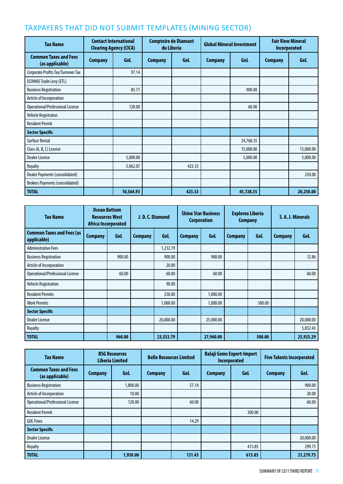### taxpayers That Did Not Submit Templates (Mining Sector)

| <b>Tax Name</b>                                 | <b>Contact International</b><br><b>Clearing Agency (CICA)</b> |           | <b>Comptoire de Diamant</b><br>du Liberia |        | <b>Global Mineral Investment</b> |            | <b>Fair View Mineral</b><br><b>Incorporated</b> |           |
|-------------------------------------------------|---------------------------------------------------------------|-----------|-------------------------------------------|--------|----------------------------------|------------|-------------------------------------------------|-----------|
| <b>Common Taxes and Fees</b><br>(as applicable) | <b>Company</b>                                                | Gol       | <b>Company</b>                            | Gol    | <b>Company</b>                   | <b>Gol</b> | <b>Company</b>                                  | Gol       |
| Corporate Profits Tax/Turnover Tax              |                                                               | 97.14     |                                           |        |                                  |            |                                                 |           |
| <b>ECOWAS Trade Levy (ETL)</b>                  |                                                               |           |                                           |        |                                  |            |                                                 |           |
| <b>Business Registration</b>                    |                                                               | 85.71     |                                           |        |                                  | 900.00     |                                                 |           |
| Article of Incorporation                        |                                                               |           |                                           |        |                                  |            |                                                 |           |
| Operational/Professional License                |                                                               | 120.00    |                                           |        |                                  | 60.00      |                                                 |           |
| Vehicle Registraton                             |                                                               |           |                                           |        |                                  |            |                                                 |           |
| <b>Resident Permit</b>                          |                                                               |           |                                           |        |                                  |            |                                                 |           |
| <b>Sector Specific</b>                          |                                                               |           |                                           |        |                                  |            |                                                 |           |
| <b>Surface Rental</b>                           |                                                               |           |                                           |        |                                  | 24,768.35  |                                                 |           |
| Class (A, B, C) License                         |                                                               |           |                                           |        |                                  | 15,000.00  |                                                 | 15,000.00 |
| <b>Dealer License</b>                           |                                                               | 5,000.00  |                                           |        |                                  | 5,000.00   |                                                 | 5,000.00  |
| Royalty                                         |                                                               | 5,062.07  |                                           | 423.33 |                                  |            |                                                 |           |
| Dealer Payments (consolidated)                  |                                                               |           |                                           |        |                                  |            |                                                 | 250.00    |
| <b>Brokers Payments (consolidated)</b>          |                                                               |           |                                           |        |                                  |            |                                                 |           |
| <b>TOTAL</b>                                    |                                                               | 10,364.93 |                                           | 423.33 |                                  | 45,728.35  |                                                 | 20,250.00 |

| <b>Tax Name</b>                                 | <b>Ocean Bottom</b><br>Africa Incorporated | <b>Resources West</b> |                | <b>Shine Star Business</b><br><b>Explorex Liberia</b><br>J.D.C.Diamond<br>Corporation<br><b>Company</b> |                |           | S. A. J. Minerals |        |                |           |
|-------------------------------------------------|--------------------------------------------|-----------------------|----------------|---------------------------------------------------------------------------------------------------------|----------------|-----------|-------------------|--------|----------------|-----------|
| <b>Common Taxes and Fees (as</b><br>applicable) | <b>Company</b>                             | Gol                   | <b>Company</b> | Gol                                                                                                     | <b>Company</b> | Gol       | <b>Company</b>    | Gol    | <b>Company</b> | Gol       |
| <b>Administrative Fees</b>                      |                                            |                       |                | 1,232.79                                                                                                |                |           |                   |        |                |           |
| <b>Business Registration</b>                    |                                            | 900.00                |                | 900.00                                                                                                  |                | 900.00    |                   |        |                | 12.86     |
| Article of Incorporation                        |                                            |                       |                | 20.00                                                                                                   |                |           |                   |        |                |           |
| Operational/Professional License                |                                            | 60.00                 |                | 60.00                                                                                                   |                | 60.00     |                   |        |                | 60.00     |
| <b>Vehicle Registration</b>                     |                                            |                       |                | 90.00                                                                                                   |                |           |                   |        |                |           |
| <b>Resident Permits</b>                         |                                            |                       |                | 250.00                                                                                                  |                | 1,000.00  |                   |        |                |           |
| <b>Work Permits</b>                             |                                            |                       |                | 1,000.00                                                                                                |                | 1,000.00  |                   | 500.00 |                |           |
| <b>Sector Specific</b>                          |                                            |                       |                |                                                                                                         |                |           |                   |        |                |           |
| <b>Dealer License</b>                           |                                            |                       |                | 20,000.00                                                                                               |                | 25,000.00 |                   |        |                | 20,000.00 |
| Royalty                                         |                                            |                       |                |                                                                                                         |                |           |                   |        |                | 5,852.43  |
| <b>TOTAL</b>                                    |                                            | 960.00                |                | 23,552.79                                                                                               |                | 27,960.00 |                   | 500.00 |                | 25,925.29 |

| <b>Tax Name</b>                                 |                | <b>BSG Resources</b><br><b>Liberia Limited</b> | <b>Belle Resources Limited</b> |            | <b>Balaji Gems Export-Import</b><br>Incorporated |            | <b>Five Talents Incorporated</b> |           |
|-------------------------------------------------|----------------|------------------------------------------------|--------------------------------|------------|--------------------------------------------------|------------|----------------------------------|-----------|
| <b>Common Taxes and Fees</b><br>(as applicable) | <b>Company</b> | <b>Gol</b>                                     | <b>Company</b>                 | <b>Gol</b> | <b>Company</b>                                   | <b>Gol</b> | <b>Company</b>                   | GoL       |
| <b>Business Registration</b>                    |                | 1,800.00                                       |                                | 57.14      |                                                  |            |                                  | 900.00    |
| Article of Incorporation                        |                | 10.00                                          |                                |            |                                                  |            |                                  | 20.00     |
| Operational/Professional License                |                | 120.00                                         |                                | 60.00      |                                                  |            |                                  | 60.00     |
| <b>Resident Permit</b>                          |                |                                                |                                |            |                                                  | 200.00     |                                  |           |
| <b>GOL Fines</b>                                |                |                                                |                                | 14.29      |                                                  |            |                                  |           |
| <b>Sector Specific</b>                          |                |                                                |                                |            |                                                  |            |                                  |           |
| <b>Dealer License</b>                           |                |                                                |                                |            |                                                  |            |                                  | 20,000.00 |
| Royalty                                         |                |                                                |                                |            |                                                  | 413.85     |                                  | 299.75    |
| <b>TOTAL</b>                                    |                | 1,930.00                                       |                                | 131.43     |                                                  | 613.85     |                                  | 21,279.75 |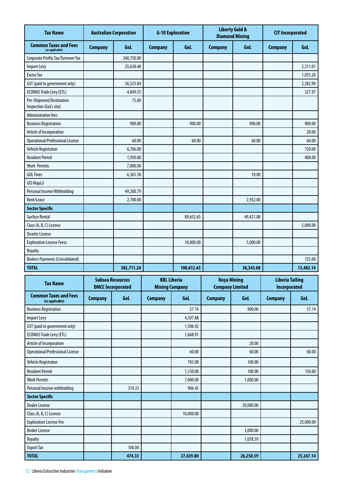| <b>Tax Name</b>                                    | <b>Australian Corporation</b> |            | <b>G-10 Exploration</b> |            | <b>Liberty Gold &amp;</b><br><b>Diamond Mining</b> |           | <b>CIT Incorporated</b> |            |
|----------------------------------------------------|-------------------------------|------------|-------------------------|------------|----------------------------------------------------|-----------|-------------------------|------------|
| <b>Common Taxes and Fees</b><br>(as applicable)    | <b>Company</b>                | Gol        | <b>Company</b>          | Gol        | <b>Company</b>                                     | GoL       | <b>Company</b>          | <b>Gol</b> |
| Corporate Profits Tax/Turnover Tax                 |                               | 240,750.00 |                         |            |                                                    |           |                         |            |
| <b>Import Levy</b>                                 |                               | 25,628.48  |                         |            |                                                    |           |                         | 2,311.01   |
| <b>Excise Tax</b>                                  |                               |            |                         |            |                                                    |           |                         | 1,035.26   |
| GST (paid to government only)                      |                               | 36,525.84  |                         |            |                                                    |           |                         | 2,582.90   |
| <b>ECOWAS Trade Levy (ETL)</b>                     |                               | 4,849.55   |                         |            |                                                    |           |                         | 327.97     |
| Pre-Shipment/Destination<br>Inspection (GoL's sha) |                               | 75.00      |                         |            |                                                    |           |                         |            |
| Administrative fees                                |                               |            |                         |            |                                                    |           |                         |            |
| <b>Business Registration</b>                       |                               | 900.00     |                         | 900.00     |                                                    | 900.00    |                         | 900.00     |
| Article of Incorporation                           |                               |            |                         |            |                                                    |           |                         | 20.00      |
| Operational/Professional License                   |                               | 60.00      |                         | 60.00      |                                                    | 60.00     |                         | 60.00      |
| <b>Vehicle Registraton</b>                         |                               | 6,706.00   |                         |            |                                                    |           |                         | 720.00     |
| <b>Resident Permit</b>                             |                               | 1,950.00   |                         |            |                                                    |           |                         | 400.00     |
| <b>Work Permits</b>                                |                               | 7,000.00   |                         |            |                                                    |           |                         |            |
| <b>GOL Fines</b>                                   |                               | 6,365.58   |                         |            |                                                    | 10.00     |                         |            |
| GIS Map(s)                                         |                               |            |                         |            |                                                    |           |                         |            |
| Personal Income Withholding                        |                               | 49,200.79  |                         |            |                                                    |           |                         |            |
| Rent/Lease                                         |                               | 2,700.00   |                         |            |                                                    | 2,952.00  |                         |            |
| <b>Sector Specific</b>                             |                               |            |                         |            |                                                    |           |                         |            |
| <b>Surface Rental</b>                              |                               |            |                         | 89,652.65  |                                                    | 49,421.08 |                         |            |
| Class (A, B, C) License                            |                               |            |                         |            |                                                    |           |                         | 5,000.00   |
| <b>Dearler License</b>                             |                               |            |                         |            |                                                    |           |                         |            |
| <b>Exploration License Feess</b>                   |                               |            |                         | 10,000.00  |                                                    | 5,000.00  |                         |            |
| Royalty                                            |                               |            |                         |            |                                                    |           |                         |            |
| <b>Brokers Payments (Consolidated)</b>             |                               |            |                         |            |                                                    |           |                         | 125.00     |
| <b>TOTAL</b>                                       |                               | 382,711.24 |                         | 100,612.65 |                                                    | 58,343.08 |                         | 13,482.14  |

| <b>Tax Name</b>                                 | <b>Subsea Resources</b><br><b>DMCC Incorporated</b> |        | <b>KBL Liberia</b><br><b>Mining Company</b> |            | <b>Noya Mining</b><br><b>Company Limited</b> |           | <b>Liberia Tailing</b><br><b>Incorporated</b> |            |
|-------------------------------------------------|-----------------------------------------------------|--------|---------------------------------------------|------------|----------------------------------------------|-----------|-----------------------------------------------|------------|
| <b>Common Taxes and Fees</b><br>(as applicable) | <b>Company</b>                                      | Gol    | <b>Company</b>                              | <b>Gol</b> | Gol.<br><b>Company</b>                       |           | <b>Company</b>                                | <b>Gol</b> |
| <b>Business Registration</b>                    |                                                     |        |                                             | 57.14      |                                              | 900.00    |                                               | 57.14      |
| <b>Import Levy</b>                              |                                                     |        |                                             | 4,507.88   |                                              |           |                                               |            |
| GST (paid to government only)                   |                                                     |        |                                             | 1,506.42   |                                              |           |                                               |            |
| <b>ECOWAS Trade Levy (ETL)</b>                  |                                                     |        |                                             | 1,668.91   |                                              |           |                                               |            |
| Article of Incorporation                        |                                                     |        |                                             |            |                                              | 20.00     |                                               |            |
| Operational/Professional License                |                                                     |        |                                             | 60.00      |                                              | 60.00     |                                               | 60.00      |
| Vehicle Registraton                             |                                                     |        |                                             | 783.00     |                                              | 100.00    |                                               |            |
| <b>Resident Permit</b>                          |                                                     |        |                                             | 1,150.00   |                                              | 100.00    |                                               | 150.00     |
| <b>Work Permits</b>                             |                                                     |        |                                             | 7,000.00   |                                              | 1,000.00  |                                               |            |
| Personal Income withholding                     |                                                     | 374.33 |                                             | 906.45     |                                              |           |                                               |            |
| <b>Sector Specific</b>                          |                                                     |        |                                             |            |                                              |           |                                               |            |
| <b>Dealer License</b>                           |                                                     |        |                                             |            |                                              | 20,000.00 |                                               |            |
| Class (A, B, C) License                         |                                                     |        |                                             | 10,000.00  |                                              |           |                                               |            |
| <b>Exploration License Fee</b>                  |                                                     |        |                                             |            |                                              |           |                                               | 25,000.00  |
| <b>Broker License</b>                           |                                                     |        |                                             |            |                                              | 3,000.00  |                                               |            |
| Royalty                                         |                                                     |        |                                             |            |                                              | 1,078.59  |                                               |            |
| <b>Export Tax</b>                               |                                                     | 100.00 |                                             |            |                                              |           |                                               |            |
| <b>TOTAL</b>                                    |                                                     | 474.33 |                                             | 27,639.80  |                                              | 26,258.59 |                                               | 25,267.14  |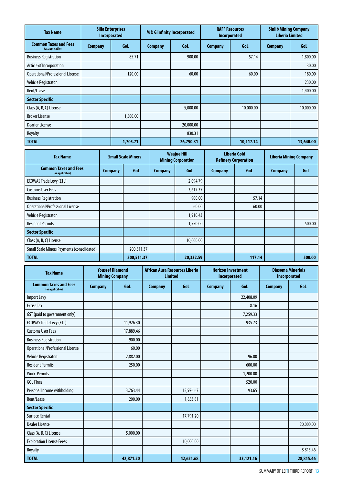| <b>Tax Name</b>                                 |                | <b>Silla Enterprises</b><br>Incorporated |                | M & G Infinity Incorporated |                | <b>RAFF Resources</b><br><b>Incorporated</b> |                | <b>Sinlib Mining Company</b><br><b>Liberia Limited</b> |  |
|-------------------------------------------------|----------------|------------------------------------------|----------------|-----------------------------|----------------|----------------------------------------------|----------------|--------------------------------------------------------|--|
| <b>Common Taxes and Fees</b><br>(as applicable) | <b>Company</b> | <b>GoL</b>                               | <b>Company</b> | GoL                         | <b>Company</b> | <b>Gol</b>                                   | <b>Company</b> | <b>Gol</b>                                             |  |
| <b>Business Registration</b>                    |                | 85.71                                    |                | 900.00                      |                | 57.14                                        |                | 1,800.00                                               |  |
| Article of Incorporation                        |                |                                          |                |                             |                |                                              |                | 30.00                                                  |  |
| Operational/Professional License                |                | 120.00                                   |                | 60.00                       |                | 60.00                                        |                | 180.00                                                 |  |
| Vehicle Registraton                             |                |                                          |                |                             |                |                                              |                | 230.00                                                 |  |
| Rent/Lease                                      |                |                                          |                |                             |                |                                              |                | 1,400.00                                               |  |
| <b>Sector Specific</b>                          |                |                                          |                |                             |                |                                              |                |                                                        |  |
| Class (A, B, C) License                         |                |                                          |                | 5,000.00                    |                | 10,000.00                                    |                | 10,000.00                                              |  |
| <b>Broker License</b>                           |                | 1,500.00                                 |                |                             |                |                                              |                |                                                        |  |
| <b>Dearler License</b>                          |                |                                          |                | 20,000.00                   |                |                                              |                |                                                        |  |
| Royalty                                         |                |                                          |                | 830.31                      |                |                                              |                |                                                        |  |
| <b>TOTAL</b>                                    |                | 1,705.71                                 |                | 26,790.31                   |                | 10,117.14                                    |                | 13,640.00                                              |  |

| <b>Tax Name</b>                                   | <b>Small Scale Miners</b> |            | <b>Weajue Hill</b><br><b>Mining Corporation</b> |            | Liberia Gold<br><b>Refinery Corporation</b> |        | <b>Liberia Mining Company</b> |        |
|---------------------------------------------------|---------------------------|------------|-------------------------------------------------|------------|---------------------------------------------|--------|-------------------------------|--------|
| <b>Common Taxes and Fees</b><br>(as applicable)   | <b>Company</b>            | GoL        | <b>Company</b>                                  | <b>Gol</b> | <b>Company</b>                              | GoL    | <b>Company</b>                | GoL    |
| <b>ECOWAS Trade Levy (ETL)</b>                    |                           |            |                                                 | 2,094.79   |                                             |        |                               |        |
| <b>Customs User Fees</b>                          |                           |            |                                                 | 3,617.37   |                                             |        |                               |        |
| <b>Business Registration</b>                      |                           |            |                                                 | 900.00     |                                             | 57.14  |                               |        |
| Operational/Professional License                  |                           |            |                                                 | 60.00      |                                             | 60.00  |                               |        |
| Vehicle Registraton                               |                           |            |                                                 | 1,910.43   |                                             |        |                               |        |
| <b>Resident Permits</b>                           |                           |            |                                                 | 1,750.00   |                                             |        |                               | 500.00 |
| <b>Sector Specific</b>                            |                           |            |                                                 |            |                                             |        |                               |        |
| Class (A, B, C) License                           |                           |            |                                                 | 10,000.00  |                                             |        |                               |        |
| <b>Small Scale Miners Payments (consolidated)</b> |                           | 200,511.37 |                                                 |            |                                             |        |                               |        |
| <b>TOTAL</b>                                      |                           | 200,511.37 |                                                 | 20,332.59  |                                             | 117.14 |                               | 500.00 |

| <b>Tax Name</b>                                 | <b>Youssef Diamond</b><br><b>Mining Company</b> |            |                | African Aura Resources Liberia<br><b>Limited</b> |                               | <b>Horizon Investment</b><br>Incorporated | <b>Diasoma Minerials</b><br>Incorporated |           |
|-------------------------------------------------|-------------------------------------------------|------------|----------------|--------------------------------------------------|-------------------------------|-------------------------------------------|------------------------------------------|-----------|
| <b>Common Taxes and Fees</b><br>(as applicable) | <b>Company</b>                                  | <b>GoL</b> | <b>Company</b> | GoL                                              | <b>Gol.</b><br><b>Company</b> |                                           | <b>Company</b>                           | GoL       |
| Import Levy                                     |                                                 |            |                |                                                  |                               | 22,408.09                                 |                                          |           |
| <b>Excise Tax</b>                               |                                                 |            |                |                                                  |                               | 8.16                                      |                                          |           |
| GST (paid to government only)                   |                                                 |            |                |                                                  |                               | 7,259.33                                  |                                          |           |
| <b>ECOWAS Trade Levy (ETL)</b>                  |                                                 | 11,926.30  |                |                                                  |                               | 935.73                                    |                                          |           |
| <b>Customs User Fees</b>                        |                                                 | 17,889.46  |                |                                                  |                               |                                           |                                          |           |
| <b>Business Registration</b>                    |                                                 | 900.00     |                |                                                  |                               |                                           |                                          |           |
| Operational/Professional License                |                                                 | 60.00      |                |                                                  |                               |                                           |                                          |           |
| Vehicle Registraton                             |                                                 | 2,882.00   |                |                                                  |                               | 96.00                                     |                                          |           |
| <b>Resident Permits</b>                         |                                                 | 250.00     |                |                                                  |                               | 600.00                                    |                                          |           |
| <b>Work Permits</b>                             |                                                 |            |                |                                                  |                               | 1,200.00                                  |                                          |           |
| <b>GOL Fines</b>                                |                                                 |            |                |                                                  |                               | 520.00                                    |                                          |           |
| Personal Income withholding                     |                                                 | 3,763.44   |                | 12,976.67                                        |                               | 93.65                                     |                                          |           |
| Rent/Lease                                      |                                                 | 200.00     |                | 1,853.81                                         |                               |                                           |                                          |           |
| <b>Sector Specific</b>                          |                                                 |            |                |                                                  |                               |                                           |                                          |           |
| <b>Surface Rental</b>                           |                                                 |            |                | 17,791.20                                        |                               |                                           |                                          |           |
| <b>Dealer License</b>                           |                                                 |            |                |                                                  |                               |                                           |                                          | 20,000.00 |
| Class (A, B, C) License                         |                                                 | 5,000.00   |                |                                                  |                               |                                           |                                          |           |
| <b>Exploration License Feess</b>                |                                                 |            |                | 10,000.00                                        |                               |                                           |                                          |           |
| Royalty                                         |                                                 |            |                |                                                  |                               |                                           |                                          | 8,815.46  |
| <b>TOTAL</b>                                    |                                                 | 42,871.20  |                | 42,621.68                                        |                               | 33,121.16                                 |                                          | 28,815.46 |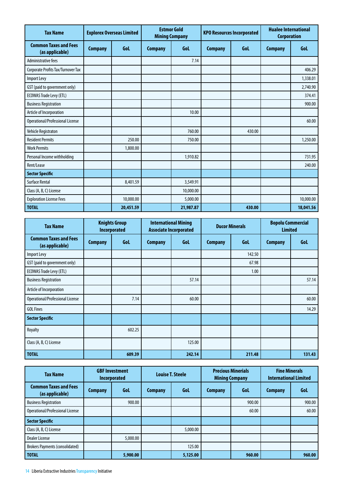| <b>Tax Name</b>                                 | <b>Explorex Overseas Limited</b> |           | <b>Estmor Gold</b><br><b>Mining Company</b> |           | <b>KPO Resources Incorporated</b> |            | <b>Hualee International</b><br><b>Corporation</b> |           |
|-------------------------------------------------|----------------------------------|-----------|---------------------------------------------|-----------|-----------------------------------|------------|---------------------------------------------------|-----------|
| <b>Common Taxes and Fees</b><br>(as applicable) | <b>Company</b>                   | GoL       | <b>Company</b>                              | GoL       | <b>Company</b>                    | <b>Gol</b> | <b>Company</b>                                    | GoL       |
| <b>Administrative fees</b>                      |                                  |           |                                             | 7.14      |                                   |            |                                                   |           |
| Corporate Profits Tax/Turnover Tax              |                                  |           |                                             |           |                                   |            |                                                   | 406.29    |
| <b>Import Levy</b>                              |                                  |           |                                             |           |                                   |            |                                                   | 1,338.01  |
| GST (paid to government only)                   |                                  |           |                                             |           |                                   |            |                                                   | 2,740.90  |
| <b>ECOWAS Trade Levy (ETL)</b>                  |                                  |           |                                             |           |                                   |            |                                                   | 374.41    |
| <b>Business Registration</b>                    |                                  |           |                                             |           |                                   |            |                                                   | 900.00    |
| Article of Incorporation                        |                                  |           |                                             | 10.00     |                                   |            |                                                   |           |
| Operational/Professional License                |                                  |           |                                             |           |                                   |            |                                                   | 60.00     |
| Vehicle Registraton                             |                                  |           |                                             | 760.00    |                                   | 430.00     |                                                   |           |
| <b>Resident Permits</b>                         |                                  | 250.00    |                                             | 750.00    |                                   |            |                                                   | 1,250.00  |
| <b>Work Permits</b>                             |                                  | 1,800.00  |                                             |           |                                   |            |                                                   |           |
| Personal Income withholding                     |                                  |           |                                             | 1,910.82  |                                   |            |                                                   | 731.95    |
| Rent/Lease                                      |                                  |           |                                             |           |                                   |            |                                                   | 240.00    |
| <b>Sector Specific</b>                          |                                  |           |                                             |           |                                   |            |                                                   |           |
| <b>Surface Rental</b>                           |                                  | 8,401.59  |                                             | 3,549.91  |                                   |            |                                                   |           |
| Class (A, B, C) License                         |                                  |           |                                             | 10,000.00 |                                   |            |                                                   |           |
| <b>Exploration License Fees</b>                 |                                  | 10,000.00 |                                             | 5,000.00  |                                   |            |                                                   | 10,000.00 |
| <b>TOTAL</b>                                    |                                  | 20,451.59 |                                             | 21,987.87 |                                   | 430.00     |                                                   | 18,041.56 |

| <b>Tax Name</b>                                 | <b>Knights Group</b><br><b>Incorporated</b> |        | <b>International Mining</b><br><b>Associate Incorporated</b> |            | <b>Ducor Minerals</b> |        | <b>Bopolu Commercial</b><br><b>Limited</b> |        |
|-------------------------------------------------|---------------------------------------------|--------|--------------------------------------------------------------|------------|-----------------------|--------|--------------------------------------------|--------|
| <b>Common Taxes and Fees</b><br>(as applicable) | <b>Company</b>                              | Gol    | <b>Company</b>                                               | <b>Gol</b> | Gol<br><b>Company</b> |        | <b>Company</b>                             | Gol    |
| <b>Import Levy</b>                              |                                             |        |                                                              |            |                       | 142.50 |                                            |        |
| GST (paid to government only)                   |                                             |        |                                                              |            |                       | 67.98  |                                            |        |
| <b>ECOWAS Trade Levy (ETL)</b>                  |                                             |        |                                                              |            |                       | 1.00   |                                            |        |
| <b>Business Registration</b>                    |                                             |        |                                                              | 57.14      |                       |        |                                            | 57.14  |
| Article of Incorporation                        |                                             |        |                                                              |            |                       |        |                                            |        |
| Operational/Professional License                |                                             | 7.14   |                                                              | 60.00      |                       |        |                                            | 60.00  |
| <b>GOL Fines</b>                                |                                             |        |                                                              |            |                       |        |                                            | 14.29  |
| <b>Sector Specific</b>                          |                                             |        |                                                              |            |                       |        |                                            |        |
| Royalty                                         |                                             | 602.25 |                                                              |            |                       |        |                                            |        |
| Class (A, B, C) License                         |                                             |        |                                                              | 125.00     |                       |        |                                            |        |
| <b>TOTAL</b>                                    |                                             | 609.39 |                                                              | 242.14     |                       | 211.48 |                                            | 131.43 |

| <b>Tax Name</b>                                 |                | <b>GBF Investment</b><br><b>Incorporated</b> | <b>Louise T. Steele</b> |          | <b>Precious Minerials</b><br><b>Mining Company</b> |        | <b>Fine Minerals</b><br><b>International Limited</b> |        |
|-------------------------------------------------|----------------|----------------------------------------------|-------------------------|----------|----------------------------------------------------|--------|------------------------------------------------------|--------|
| <b>Common Taxes and Fees</b><br>(as applicable) | <b>Company</b> | Gol                                          | <b>Company</b>          | GoL      | <b>Company</b>                                     | Gol.   | <b>Company</b>                                       | Gol    |
| <b>Business Registration</b>                    |                | 900.00                                       |                         |          |                                                    | 900.00 |                                                      | 900.00 |
| Operational/Professional License                |                |                                              |                         |          |                                                    | 60.00  |                                                      | 60.00  |
| <b>Sector Specific</b>                          |                |                                              |                         |          |                                                    |        |                                                      |        |
| Class (A, B, C) License                         |                |                                              |                         | 5,000.00 |                                                    |        |                                                      |        |
| <b>Dealer License</b>                           |                | 5,000.00                                     |                         |          |                                                    |        |                                                      |        |
| <b>Brokers Payments (consolidated)</b>          |                |                                              |                         | 125.00   |                                                    |        |                                                      |        |
| <b>TOTAL</b>                                    |                | 5,900.00                                     |                         | 5,125.00 |                                                    | 960.00 |                                                      | 960.00 |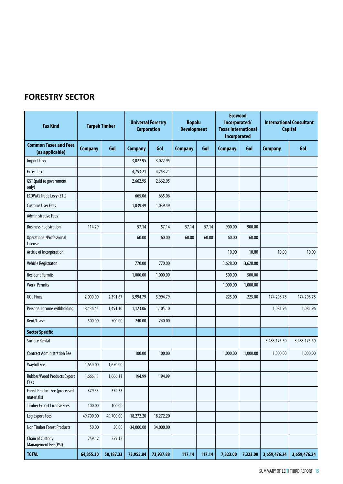### **FORESTRY SECTOR**

| <b>Tax Kind</b>                                 |                | <b>Tarpeh Timber</b> | <b>Corporation</b> | <b>Universal Forestry</b> | <b>Bopolu</b><br><b>Development</b> |        | <b>Ecowood</b><br>Incorporated/<br><b>Texas International</b><br>Incorporated |          | <b>International Consultant</b><br><b>Capital</b> |              |
|-------------------------------------------------|----------------|----------------------|--------------------|---------------------------|-------------------------------------|--------|-------------------------------------------------------------------------------|----------|---------------------------------------------------|--------------|
| <b>Common Taxes and Fees</b><br>(as applicable) | <b>Company</b> | GoL                  | <b>Company</b>     | GoL                       | <b>Company</b>                      | GoL    | <b>Company</b>                                                                | GoL      | <b>Company</b>                                    | <b>Gol.</b>  |
| <b>Import Levy</b>                              |                |                      | 3,022.95           | 3,022.95                  |                                     |        |                                                                               |          |                                                   |              |
| <b>Excise Tax</b>                               |                |                      | 4,753.21           | 4,753.21                  |                                     |        |                                                                               |          |                                                   |              |
| GST (paid to government<br>only)                |                |                      | 2,662.95           | 2,662.95                  |                                     |        |                                                                               |          |                                                   |              |
| <b>ECOWAS Trade Levy (ETL)</b>                  |                |                      | 665.06             | 665.06                    |                                     |        |                                                                               |          |                                                   |              |
| <b>Customs User Fees</b>                        |                |                      | 1,039.49           | 1,039.49                  |                                     |        |                                                                               |          |                                                   |              |
| <b>Administrative Fees</b>                      |                |                      |                    |                           |                                     |        |                                                                               |          |                                                   |              |
| <b>Business Registration</b>                    | 114.29         |                      | 57.14              | 57.14                     | 57.14                               | 57.14  | 900.00                                                                        | 900.00   |                                                   |              |
| Operational/Professional<br>License             |                |                      | 60.00              | 60.00                     | 60.00                               | 60.00  | 60.00                                                                         | 60.00    |                                                   |              |
| Article of Incorporation                        |                |                      |                    |                           |                                     |        | 10.00                                                                         | 10.00    | 10.00                                             | 10.00        |
| Vehicle Registraton                             |                |                      | 770.00             | 770.00                    |                                     |        | 3,628.00                                                                      | 3,628.00 |                                                   |              |
| <b>Resident Permits</b>                         |                |                      | 1,000.00           | 1,000.00                  |                                     |        | 500.00                                                                        | 500.00   |                                                   |              |
| <b>Work Permits</b>                             |                |                      |                    |                           |                                     |        | 1,000.00                                                                      | 1,000.00 |                                                   |              |
| <b>GOL Fines</b>                                | 2,000.00       | 2,391.67             | 5,994.79           | 5,994.79                  |                                     |        | 225.00                                                                        | 225.00   | 174,208.78                                        | 174,208.78   |
| Personal Income withholding                     | 8,436.45       | 1,491.10             | 1,123.06           | 1,105.10                  |                                     |        |                                                                               |          | 1,081.96                                          | 1,081.96     |
| Rent/Lease                                      | 500.00         | 500.00               | 240.00             | 240.00                    |                                     |        |                                                                               |          |                                                   |              |
| <b>Sector Specific</b>                          |                |                      |                    |                           |                                     |        |                                                                               |          |                                                   |              |
| <b>Surface Rental</b>                           |                |                      |                    |                           |                                     |        |                                                                               |          | 3,483,175.50                                      | 3,483,175.50 |
| <b>Contract Administration Fee</b>              |                |                      | 100.00             | 100.00                    |                                     |        | 1,000.00                                                                      | 1,000.00 | 1,000.00                                          | 1,000.00     |
| <b>Waybill Fee</b>                              | 1,650.00       | 1,650.00             |                    |                           |                                     |        |                                                                               |          |                                                   |              |
| Rubber/Wood Products Export<br>Fees             | 1,666.11       | 1,666.11             | 194.99             | 194.99                    |                                     |        |                                                                               |          |                                                   |              |
| Forest Product Fee (processed<br>materials)     | 379.33         | 379.33               |                    |                           |                                     |        |                                                                               |          |                                                   |              |
| <b>Timber Export License Fees</b>               | 100.00         | 100.00               |                    |                           |                                     |        |                                                                               |          |                                                   |              |
| Log Export Fees                                 | 49,700.00      | 49,700.00            | 18,272.20          | 18,272.20                 |                                     |        |                                                                               |          |                                                   |              |
| Non Timber Forest Products                      | 50.00          | 50.00                | 34,000.00          | 34,000.00                 |                                     |        |                                                                               |          |                                                   |              |
| Chain of Custody<br>Management Fee (PSI)        | 259.12         | 259.12               |                    |                           |                                     |        |                                                                               |          |                                                   |              |
| <b>TOTAL</b>                                    | 64,855.30      | 58,187.33            | 73,955.84          | 73,937.88                 | 117.14                              | 117.14 | 7,323.00                                                                      | 7,323.00 | 3,659,476.24                                      | 3,659,476.24 |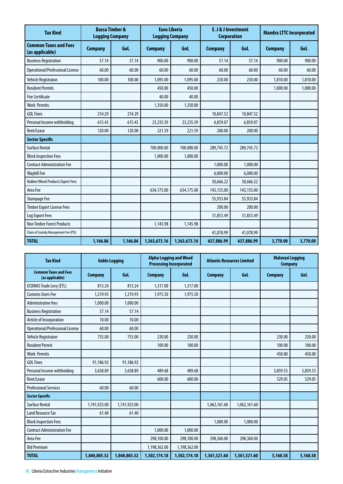| <b>Tax Kind</b>                                 | <b>Bassa Timber &amp;</b><br><b>Logging Company</b> |          | <b>Euro Liberia</b><br><b>Logging Company</b> |              | E. J & J Investment<br><b>Corporation</b> |            | <b>Mandra LTTC Incorporated</b> |          |
|-------------------------------------------------|-----------------------------------------------------|----------|-----------------------------------------------|--------------|-------------------------------------------|------------|---------------------------------|----------|
| <b>Common Taxes and Fees</b><br>(as applicable) | <b>Company</b>                                      | Gol      | <b>Company</b>                                | GoL          | <b>Company</b>                            | <b>Gol</b> | <b>Company</b>                  | GoL      |
| <b>Business Registration</b>                    | 57.14                                               | 57.14    | 900.00                                        | 900.00       | 57.14                                     | 57.14      | 900.00                          | 900.00   |
| Operational/Professional License                | 60.00                                               | 60.00    | 60.00                                         | 60.00        | 60.00                                     | 60.00      | 60.00                           | 60.00    |
| <b>Vehicle Registraton</b>                      | 100.00                                              | 100.00   | 1.095.00                                      | 1.095.00     | 230.00                                    | 230.00     | 1,810.00                        | 1,810.00 |
| <b>Resident Permits</b>                         |                                                     |          | 450.00                                        | 450.00       |                                           |            | 1,000.00                        | 1,000.00 |
| <b>Fire Certificate</b>                         |                                                     |          | 40.00                                         | 40.00        |                                           |            |                                 |          |
| <b>Work Permits</b>                             |                                                     |          | 1,350.00                                      | 1,350.00     |                                           |            |                                 |          |
| <b>GOL Fines</b>                                | 214.29                                              | 214.29   |                                               |              | 10,847.52                                 | 10,847.52  |                                 |          |
| Personal Income withholding                     | 615.43                                              | 615.43   | 23,235.59                                     | 23,235.59    | 6,859.07                                  | 6,859.07   |                                 |          |
| Rent/Lease                                      | 120.00                                              | 120.00   | 221.59                                        | 221.59       | 200.00                                    | 200.00     |                                 |          |
| <b>Sector Specific</b>                          |                                                     |          |                                               |              |                                           |            |                                 |          |
| <b>Surface Rental</b>                           |                                                     |          | 700.000.00                                    | 700.000.00   | 289,745.72                                | 289,745.72 |                                 |          |
| <b>Block Inspection Fees</b>                    |                                                     |          | 1,000.00                                      | 1,000.00     |                                           |            |                                 |          |
| <b>Contract Administration Fee</b>              |                                                     |          |                                               |              | 1,000.00                                  | 1,000.00   |                                 |          |
| <b>Waybill Fee</b>                              |                                                     |          |                                               |              | 6,000.00                                  | 6,000.00   |                                 |          |
| Rubber/Wood Products Export Fees                |                                                     |          |                                               |              | 50,666.22                                 | 50,666.22  |                                 |          |
| Area Fee                                        |                                                     |          | 634,175.00                                    | 634,175.00   | 143,155.00                                | 143,155.00 |                                 |          |
| <b>Stumpage Fee</b>                             |                                                     |          |                                               |              | 55,933.84                                 | 55,933.84  |                                 |          |
| <b>Timber Export License Fees</b>               |                                                     |          |                                               |              | 200.00                                    | 200.00     |                                 |          |
| Log Export Fees                                 |                                                     |          |                                               |              | 31,853.49                                 | 31,853.49  |                                 |          |
| <b>Non Timber Forest Products</b>               |                                                     |          | 1,145.98                                      | 1,145.98     |                                           |            |                                 |          |
| Chain of Custody Management Fee (PSI)           |                                                     |          |                                               |              | 41,078.99                                 | 41.078.99  |                                 |          |
| <b>TOTAL</b>                                    | 1,166.86                                            | 1,166.86 | 1,363,673.16                                  | 1,363,673.16 | 637,886.99                                | 637,886.99 | 3,770.00                        | 3,770.00 |

| <b>Tax Kind</b>                                 | <b>Geblo Logging</b> |              | <b>Alpha Logging and Wood</b><br><b>Processing Incorporated</b> |              | <b>Atlantic Resources Limited</b> |              | <b>Malavasi Logging</b><br><b>Company</b> |          |
|-------------------------------------------------|----------------------|--------------|-----------------------------------------------------------------|--------------|-----------------------------------|--------------|-------------------------------------------|----------|
| <b>Common Taxes and Fees</b><br>(as applicable) | <b>Company</b>       | GoL          | <b>Company</b>                                                  | GoL          | <b>Company</b>                    | GoL          | <b>Company</b>                            | GoL      |
| <b>ECOWAS Trade Levy (ETL)</b>                  | 813.24               | 813.24       | 1,317.00                                                        | 1,317.00     |                                   |              |                                           |          |
| <b>Customs Users Fee</b>                        | 1.219.93             | 1,219.93     | 1,975.50                                                        | 1.975.50     |                                   |              |                                           |          |
| <b>Administrative fees</b>                      | 1,000.00             | 1,000.00     |                                                                 |              |                                   |              |                                           |          |
| <b>Business Registration</b>                    | 57.14                | 57.14        |                                                                 |              |                                   |              |                                           |          |
| Article of Incorporation                        | 10.00                | 10.00        |                                                                 |              |                                   |              |                                           |          |
| Operational/Professional License                | 60.00                | 60.00        |                                                                 |              |                                   |              |                                           |          |
| Vehicle Registraton                             | 755.00               | 755.00       | 230.00                                                          | 230.00       |                                   |              | 230.00                                    | 230.00   |
| <b>Resident Permit</b>                          |                      |              | 100.00                                                          | 100.00       |                                   |              | 100.00                                    | 100.00   |
| <b>Work Permits</b>                             |                      |              |                                                                 |              |                                   |              | 450.00                                    | 450.00   |
| <b>GOL Fines</b>                                | 91,186.92            | 91,186.92    |                                                                 |              |                                   |              |                                           |          |
| Personal Income withholding                     | 3,658.89             | 3,658.89     | 489.68                                                          | 489.68       |                                   |              | 3,859.53                                  | 3,859.53 |
| Rent/Lease                                      |                      |              | 600.00                                                          | 600.00       |                                   |              | 529.05                                    | 529.05   |
| <b>Professional Services</b>                    | 60.00                | 60.00        |                                                                 |              |                                   |              |                                           |          |
| <b>Sector Specific</b>                          |                      |              |                                                                 |              |                                   |              |                                           |          |
| Surface Rental                                  | 1,741,923.00         | 1,741,923.00 |                                                                 |              | 1,062,161.60                      | 1,062,161.60 |                                           |          |
| <b>Land Resource Tax</b>                        | 61.40                | 61.40        |                                                                 |              |                                   |              |                                           |          |
| <b>Block Inspection Fees</b>                    |                      |              |                                                                 |              | 1,000.00                          | 1,000.00     |                                           |          |
| <b>Contract Administration Fee</b>              |                      |              | 1,000.00                                                        | 1,000.00     |                                   |              |                                           |          |
| Area Fee                                        |                      |              | 298,100.00                                                      | 298,100.00   | 298,360.00                        | 298,360.00   |                                           |          |
| <b>Bid Premium</b>                              |                      |              | 1,198,362.00                                                    | 1,198,362.00 |                                   |              |                                           |          |
| <b>TOTAL</b>                                    | 1,840,805.52         | 1,840,805.52 | 1,502,174.18                                                    | 1,502,174.18 | 1,361,521.60                      | 1,361,521.60 | 5,168.58                                  | 5,168.58 |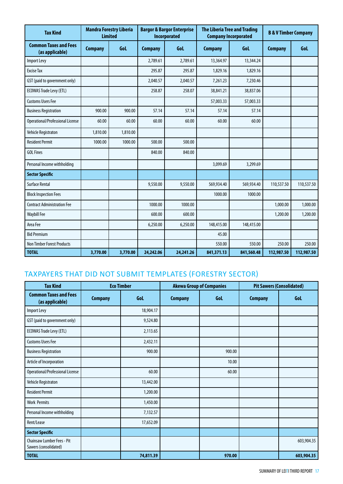| <b>Tax Kind</b>                                 |                | <b>Mandra Forestry Liberia</b><br><b>Limited</b> |                | <b>Bargor &amp; Bargor Enterprise</b><br><b>Incorporated</b> |                | <b>The Liberia Tree and Trading</b><br><b>Company Incorporated</b> | <b>B &amp; V Timber Company</b> |            |
|-------------------------------------------------|----------------|--------------------------------------------------|----------------|--------------------------------------------------------------|----------------|--------------------------------------------------------------------|---------------------------------|------------|
| <b>Common Taxes and Fees</b><br>(as applicable) | <b>Company</b> | <b>Gol</b>                                       | <b>Company</b> | <b>Gol</b>                                                   | <b>Company</b> | Gol                                                                | <b>Company</b>                  | Gol        |
| Import Levy                                     |                |                                                  | 2.789.61       | 2,789.61                                                     | 13,364.97      | 13,344.24                                                          |                                 |            |
| <b>Excise Tax</b>                               |                |                                                  | 295.87         | 295.87                                                       | 1,829.16       | 1,829.16                                                           |                                 |            |
| GST (paid to government only)                   |                |                                                  | 2,040.57       | 2,040.57                                                     | 7,261.23       | 7,230.46                                                           |                                 |            |
| <b>ECOWAS Trade Levy (ETL)</b>                  |                |                                                  | 258.87         | 258.07                                                       | 38,841.21      | 38,837.06                                                          |                                 |            |
| <b>Customs Users Fee</b>                        |                |                                                  |                |                                                              | 57,003.33      | 57,003.33                                                          |                                 |            |
| <b>Business Registration</b>                    | 900.00         | 900.00                                           | 57.14          | 57.14                                                        | 57.14          | 57.14                                                              |                                 |            |
| Operational/Professional License                | 60.00          | 60.00                                            | 60.00          | 60.00                                                        | 60.00          | 60.00                                                              |                                 |            |
| Vehicle Registraton                             | 1,810.00       | 1,810.00                                         |                |                                                              |                |                                                                    |                                 |            |
| <b>Resident Permit</b>                          | 1000.00        | 1000.00                                          | 500.00         | 500.00                                                       |                |                                                                    |                                 |            |
| <b>GOL Fines</b>                                |                |                                                  | 840.00         | 840.00                                                       |                |                                                                    |                                 |            |
| Personal Income withholding                     |                |                                                  |                |                                                              | 3,099.69       | 3,299.69                                                           |                                 |            |
| <b>Sector Specific</b>                          |                |                                                  |                |                                                              |                |                                                                    |                                 |            |
| <b>Surface Rental</b>                           |                |                                                  | 9,550.00       | 9,550.00                                                     | 569,934.40     | 569,934.40                                                         | 110,537.50                      | 110,537.50 |
| <b>Block Inspection Fees</b>                    |                |                                                  |                |                                                              | 1000.00        | 1000.00                                                            |                                 |            |
| <b>Contract Administration Fee</b>              |                |                                                  | 1000.00        | 1000.00                                                      |                |                                                                    | 1,000.00                        | 1,000.00   |
| <b>Waybill Fee</b>                              |                |                                                  | 600.00         | 600.00                                                       |                |                                                                    | 1,200.00                        | 1,200.00   |
| Area Fee                                        |                |                                                  | 6,250.00       | 6,250.00                                                     | 148,415.00     | 148,415.00                                                         |                                 |            |
| <b>Bid Premium</b>                              |                |                                                  |                |                                                              | 45.00          |                                                                    |                                 |            |
| <b>Non Timber Forest Products</b>               |                |                                                  |                |                                                              | 550.00         | 550.00                                                             | 250.00                          | 250.00     |
| <b>TOTAL</b>                                    | 3,770.00       | 3,770.00                                         | 24,242.06      | 24,241.26                                                    | 841,371.13     | 841,560.48                                                         | 112,987.50                      | 112,987.50 |

### taxpayers That Did Not Submit Templates (forestry Sector)

| <b>Tax Kind</b>                                            |                | <b>Eco Timber</b> |                | <b>Akewa Group of Companies</b> | <b>Pit Sawers (Consolidated)</b> |            |  |
|------------------------------------------------------------|----------------|-------------------|----------------|---------------------------------|----------------------------------|------------|--|
| <b>Common Taxes and Fees</b><br>(as applicable)            | <b>Company</b> | GoL               | <b>Company</b> | Gol                             | <b>Company</b>                   | Gol        |  |
| <b>Import Levy</b>                                         |                | 18,904.17         |                |                                 |                                  |            |  |
| GST (paid to government only)                              |                | 9,524.80          |                |                                 |                                  |            |  |
| <b>ECOWAS Trade Levy (ETL)</b>                             |                | 2,113.65          |                |                                 |                                  |            |  |
| <b>Customs Users Fee</b>                                   |                | 2,432.11          |                |                                 |                                  |            |  |
| <b>Business Registration</b>                               |                | 900.00            |                | 900.00                          |                                  |            |  |
| Article of Incorporation                                   |                |                   |                | 10.00                           |                                  |            |  |
| Operational/Professional License                           |                | 60.00             |                | 60.00                           |                                  |            |  |
| Vehicle Registraton                                        |                | 13,442.00         |                |                                 |                                  |            |  |
| <b>Resident Permit</b>                                     |                | 1,200.00          |                |                                 |                                  |            |  |
| <b>Work Permits</b>                                        |                | 1,450.00          |                |                                 |                                  |            |  |
| Personal Income withholding                                |                | 7,132.57          |                |                                 |                                  |            |  |
| Rent/Lease                                                 |                | 17,652.09         |                |                                 |                                  |            |  |
| <b>Sector Specific</b>                                     |                |                   |                |                                 |                                  |            |  |
| <b>Chainsaw Lumber Fees - Pit</b><br>Sawers (consolidated) |                |                   |                |                                 |                                  | 603,904.35 |  |
| <b>TOTAL</b>                                               |                | 74,811.39         |                | 970.00                          |                                  | 603,904.35 |  |

SUMMARY OF LEITI THIRD REPORT 17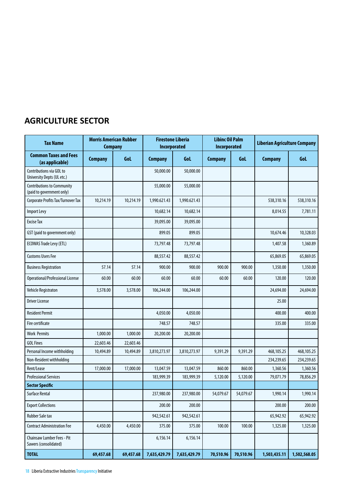### **AGRICULTURE SECTOR**

| <b>Tax Name</b>                                                | <b>Morris American Rubber</b><br><b>Company</b> |           | <b>Firestone Liberia</b><br>Incorporated |              | <b>Libinc Oil Palm</b><br>Incorporated |           | <b>Liberian Agriculture Company</b> |              |
|----------------------------------------------------------------|-------------------------------------------------|-----------|------------------------------------------|--------------|----------------------------------------|-----------|-------------------------------------|--------------|
| <b>Common Taxes and Fees</b><br>(as applicable)                | <b>Company</b>                                  | GoL       | <b>Company</b>                           | GoL          | <b>Company</b>                         | GoL       | <b>Company</b>                      | GoL          |
| Contributions via GOL to<br>University Depts (UL etc.)         |                                                 |           | 50,000.00                                | 50,000.00    |                                        |           |                                     |              |
| <b>Contributions to Community</b><br>(paid to government only) |                                                 |           | 55,000.00                                | 55,000.00    |                                        |           |                                     |              |
| Corporate Profits Tax/Turnover Tax                             | 10,214.19                                       | 10,214.19 | 1,990.621.43                             | 1,990.621.43 |                                        |           | 538,310.16                          | 538,310.16   |
| <b>Import Levy</b>                                             |                                                 |           | 10,682.14                                | 10,682.14    |                                        |           | 8,014.55                            | 7,781.11     |
| <b>Excise Tax</b>                                              |                                                 |           | 39,095.00                                | 39,095.00    |                                        |           |                                     |              |
| GST (paid to government only)                                  |                                                 |           | 899.05                                   | 899.05       |                                        |           | 10,674.46                           | 10,328.03    |
| <b>ECOWAS Trade Levy (ETL)</b>                                 |                                                 |           | 73,797.48                                | 73,797.48    |                                        |           | 1,407.58                            | 1,360.89     |
| <b>Customs Users Fee</b>                                       |                                                 |           | 88,557.42                                | 88,557.42    |                                        |           | 65,869.05                           | 65,869.05    |
| <b>Business Registration</b>                                   | 57.14                                           | 57.14     | 900.00                                   | 900.00       | 900.00                                 | 900.00    | 1,350.00                            | 1,350.00     |
| Operational/Professional License                               | 60.00                                           | 60.00     | 60.00                                    | 60.00        | 60.00                                  | 60.00     | 120.00                              | 120.00       |
| Vehicle Registraton                                            | 3,578.00                                        | 3,578.00  | 106,244.00                               | 106,244.00   |                                        |           | 24,694.00                           | 24,694.00    |
| <b>Driver License</b>                                          |                                                 |           |                                          |              |                                        |           | 25.00                               |              |
| <b>Resident Permit</b>                                         |                                                 |           | 4,050.00                                 | 4,050.00     |                                        |           | 400.00                              | 400.00       |
| Fire certificate                                               |                                                 |           | 748.57                                   | 748.57       |                                        |           | 335.00                              | 335.00       |
| <b>Work Permits</b>                                            | 1,000.00                                        | 1,000.00  | 20,200.00                                | 20,200.00    |                                        |           |                                     |              |
| <b>GOL Fines</b>                                               | 22,603.46                                       | 22,603.46 |                                          |              |                                        |           |                                     |              |
| Personal Income withholding                                    | 10,494.89                                       | 10,494.89 | 3,810,273.97                             | 3,810,273.97 | 9,391.29                               | 9,391.29  | 468,105.25                          | 468,105.25   |
| Non-Resident withholding                                       |                                                 |           |                                          |              |                                        |           | 234,239.65                          | 234,239.65   |
| Rent/Lease                                                     | 17,000.00                                       | 17,000.00 | 13,047.59                                | 13,047.59    | 860.00                                 | 860.00    | 1,360.56                            | 1,360.56     |
| <b>Professional Services</b>                                   |                                                 |           | 183,999.39                               | 183,999.39   | 5,120.00                               | 5,120.00  | 79,071.79                           | 78,856.29    |
| <b>Sector Specific</b>                                         |                                                 |           |                                          |              |                                        |           |                                     |              |
| Surface Rental                                                 |                                                 |           | 237,980.00                               | 237,980.00   | 54,079.67                              | 54,079.67 | 1,990.14                            | 1,990.14     |
| <b>Export Collections</b>                                      |                                                 |           | 200.00                                   | 200.00       |                                        |           | 200.00                              | 200.00       |
| <b>Rubber Sale tax</b>                                         |                                                 |           | 942,542.61                               | 942,542.61   |                                        |           | 65,942.92                           | 65,942.92    |
| <b>Contract Administration Fee</b>                             | 4,450.00                                        | 4,450.00  | 375.00                                   | 375.00       | 100.00                                 | 100.00    | 1,325.00                            | 1,325.00     |
| Chainsaw Lumber Fees - Pit<br>Sawers (consolidated)            |                                                 |           | 6,156.14                                 | 6,156.14     |                                        |           |                                     |              |
| <b>TOTAL</b>                                                   | 69,457.68                                       | 69,457.68 | 7,635,429.79                             | 7,635,429.79 | 70,510.96                              | 70,510.96 | 1,503,435.11                        | 1,502,568.05 |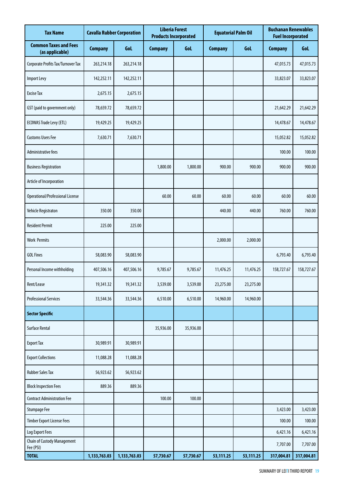| <b>Tax Name</b>                                 | <b>Cavalla Rubber Corporation</b> |              |                | <b>Liberia Forest</b><br><b>Equatorial Palm Oil</b><br><b>Products Incorporated</b> |                |           | <b>Buchanan Renewables</b><br><b>Fuel Incorporated</b> |            |
|-------------------------------------------------|-----------------------------------|--------------|----------------|-------------------------------------------------------------------------------------|----------------|-----------|--------------------------------------------------------|------------|
| <b>Common Taxes and Fees</b><br>(as applicable) | <b>Company</b>                    | GoL          | <b>Company</b> | GoL                                                                                 | <b>Company</b> | GoL       | <b>Company</b>                                         | GoL        |
| Corporate Profits Tax/Turnover Tax              | 263,214.18                        | 263,214.18   |                |                                                                                     |                |           | 47,015.73                                              | 47,015.73  |
| Import Levy                                     | 142,252.11                        | 142,252.11   |                |                                                                                     |                |           | 33,823.07                                              | 33,823.07  |
| <b>Excise Tax</b>                               | 2,675.15                          | 2,675.15     |                |                                                                                     |                |           |                                                        |            |
| GST (paid to government only)                   | 78,659.72                         | 78,659.72    |                |                                                                                     |                |           | 21,642.29                                              | 21,642.29  |
| <b>ECOWAS Trade Levy (ETL)</b>                  | 19,429.25                         | 19,429.25    |                |                                                                                     |                |           | 14,478.67                                              | 14,478.67  |
| <b>Customs Users Fee</b>                        | 7,630.71                          | 7,630.71     |                |                                                                                     |                |           | 15,052.82                                              | 15,052.82  |
| Administrative fees                             |                                   |              |                |                                                                                     |                |           | 100.00                                                 | 100.00     |
| <b>Business Registration</b>                    |                                   |              | 1,800.00       | 1,800.00                                                                            | 900.00         | 900.00    | 900.00                                                 | 900.00     |
| Article of Incorporation                        |                                   |              |                |                                                                                     |                |           |                                                        |            |
| Operational/Professional License                |                                   |              | 60.00          | 60.00                                                                               | 60.00          | 60.00     | 60.00                                                  | 60.00      |
| Vehicle Registraton                             | 350.00                            | 350.00       |                |                                                                                     | 440.00         | 440.00    | 760.00                                                 | 760.00     |
| <b>Resident Permit</b>                          | 225.00                            | 225.00       |                |                                                                                     |                |           |                                                        |            |
| <b>Work Permits</b>                             |                                   |              |                |                                                                                     | 2,000.00       | 2,000.00  |                                                        |            |
| <b>GOL Fines</b>                                | 58,083.90                         | 58,083.90    |                |                                                                                     |                |           | 6,793.40                                               | 6,793.40   |
| Personal Income withholding                     | 407,506.16                        | 407,506.16   | 9,785.67       | 9,785.67                                                                            | 11,476.25      | 11,476.25 | 158,727.67                                             | 158,727.67 |
| Rent/Lease                                      | 19,341.32                         | 19,341.32    | 3,539.00       | 3,539.00                                                                            | 23,275.00      | 23,275.00 |                                                        |            |
| <b>Professional Services</b>                    | 33,544.36                         | 33,544.36    | 6,510.00       | 6,510.00                                                                            | 14,960.00      | 14,960.00 |                                                        |            |
| <b>Sector Specific</b>                          |                                   |              |                |                                                                                     |                |           |                                                        |            |
| <b>Surface Rental</b>                           |                                   |              | 35,936.00      | 35,936.00                                                                           |                |           |                                                        |            |
| <b>Export Tax</b>                               | 30,989.91                         | 30,989.91    |                |                                                                                     |                |           |                                                        |            |
| <b>Export Collections</b>                       | 11,088.28                         | 11,088.28    |                |                                                                                     |                |           |                                                        |            |
| <b>Rubber Sales Tax</b>                         | 56,923.62                         | 56,923.62    |                |                                                                                     |                |           |                                                        |            |
| <b>Block Inspection Fees</b>                    | 889.36                            | 889.36       |                |                                                                                     |                |           |                                                        |            |
| <b>Contract Administration Fee</b>              |                                   |              | 100.00         | 100.00                                                                              |                |           |                                                        |            |
| <b>Stumpage Fee</b>                             |                                   |              |                |                                                                                     |                |           | 3,423.00                                               | 3,423.00   |
| <b>Timber Export License Fees</b>               |                                   |              |                |                                                                                     |                |           | 100.00                                                 | 100.00     |
| Log Export Fees                                 |                                   |              |                |                                                                                     |                |           | 6,421.16                                               | 6,421.16   |
| Chain of Custody Management<br>Fee (PSI)        |                                   |              |                |                                                                                     |                |           | 7,707.00                                               | 7,707.00   |
| <b>TOTAL</b>                                    | 1,133,763.03                      | 1,133,763.03 | 57,730.67      | 57,730.67                                                                           | 53,111.25      | 53,111.25 | 317,004.81                                             | 317,004.81 |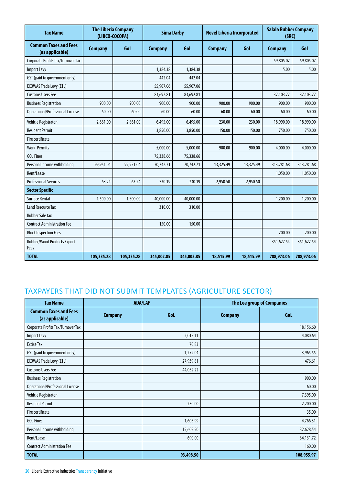| <b>Tax Name</b>                                 | <b>The Liberia Company</b><br>(LIBCO-COCOPA) |            | <b>Sima Darby</b> |            | <b>Novel Liberia Incorporated</b> |           | <b>Salala Rubber Company</b><br>(SRC) |            |
|-------------------------------------------------|----------------------------------------------|------------|-------------------|------------|-----------------------------------|-----------|---------------------------------------|------------|
| <b>Common Taxes and Fees</b><br>(as applicable) | <b>Company</b>                               | Gol        | <b>Company</b>    | <b>Gol</b> | <b>Company</b>                    | GoL       | <b>Company</b>                        | GoL        |
| Corporate Profits Tax/Turnover Tax              |                                              |            |                   |            |                                   |           | 59,805.07                             | 59,805.07  |
| Import Levy                                     |                                              |            | 1,384.38          | 1,384.38   |                                   |           | 5.00                                  | 5.00       |
| GST (paid to government only)                   |                                              |            | 442.04            | 442.04     |                                   |           |                                       |            |
| <b>ECOWAS Trade Levy (ETL)</b>                  |                                              |            | 55,907.06         | 55,907.06  |                                   |           |                                       |            |
| <b>Customs Users Fee</b>                        |                                              |            | 83,692.81         | 83,692.81  |                                   |           | 37,103.77                             | 37,103.77  |
| <b>Business Registration</b>                    | 900.00                                       | 900.00     | 900.00            | 900.00     | 900.00                            | 900.00    | 900.00                                | 900.00     |
| <b>Operational/Professional License</b>         | 60.00                                        | 60.00      | 60.00             | 60.00      | 60.00                             | 60.00     | 60.00                                 | 60.00      |
| Vehicle Registraton                             | 2.861.00                                     | 2,861.00   | 6,495.00          | 6,495.00   | 230.00                            | 230.00    | 18,990.00                             | 18,990.00  |
| <b>Resident Permit</b>                          |                                              |            | 3,850.00          | 3,850.00   | 150.00                            | 150.00    | 750.00                                | 750.00     |
| Fire certificate                                |                                              |            |                   |            |                                   |           |                                       |            |
| <b>Work Permits</b>                             |                                              |            | 5,000.00          | 5,000.00   | 900.00                            | 900.00    | 4,000.00                              | 4,000.00   |
| <b>GOL Fines</b>                                |                                              |            | 75,338.66         | 75,338.66  |                                   |           |                                       |            |
| Personal Income withholding                     | 99.951.04                                    | 99,951.04  | 70,742.71         | 70,742.71  | 13,325.49                         | 13,325.49 | 313,281.68                            | 313,281.68 |
| Rent/Lease                                      |                                              |            |                   |            |                                   |           | 1,050.00                              | 1,050.00   |
| <b>Professional Services</b>                    | 63.24                                        | 63.24      | 730.19            | 730.19     | 2,950.50                          | 2,950.50  |                                       |            |
| <b>Sector Specific</b>                          |                                              |            |                   |            |                                   |           |                                       |            |
| <b>Surface Rental</b>                           | 1,500.00                                     | 1,500.00   | 40,000.00         | 40,000.00  |                                   |           | 1,200.00                              | 1,200.00   |
| <b>Land Resource Tax</b>                        |                                              |            | 310.00            | 310.00     |                                   |           |                                       |            |
| <b>Rubber Sale tax</b>                          |                                              |            |                   |            |                                   |           |                                       |            |
| <b>Contract Administration Fee</b>              |                                              |            | 150.00            | 150.00     |                                   |           |                                       |            |
| <b>Block Inspection Fees</b>                    |                                              |            |                   |            |                                   |           | 200.00                                | 200.00     |
| Rubber/Wood Products Export<br>Fees             |                                              |            |                   |            |                                   |           | 351,627.54                            | 351,627.54 |
| <b>TOTAL</b>                                    | 105,335.28                                   | 105,335.28 | 345,002.85        | 345,002.85 | 18,515.99                         | 18,515.99 | 788,973.06                            | 788,973.06 |

### taxpayers That Did Not Submit Templates (Agriculture Sector)

| <b>Tax Name</b>                                 |                | <b>ADA/LAP</b> |                | <b>The Lee group of Companies</b> |  |  |
|-------------------------------------------------|----------------|----------------|----------------|-----------------------------------|--|--|
| <b>Common Taxes and Fees</b><br>(as applicable) | <b>Company</b> | GoL            | <b>Company</b> | GoL                               |  |  |
| Corporate Profits Tax/Turnover Tax              |                |                |                | 18,156.60                         |  |  |
| Import Levy                                     |                | 2,015.11       |                | 4,080.64                          |  |  |
| <b>Excise Tax</b>                               |                | 70.83          |                |                                   |  |  |
| GST (paid to government only)                   |                | 1,272.04       |                | 3,965.55                          |  |  |
| <b>ECOWAS Trade Levy (ETL)</b>                  |                | 27,939.81      |                | 476.61                            |  |  |
| <b>Customs Users Fee</b>                        |                | 44,052.22      |                |                                   |  |  |
| <b>Business Registration</b>                    |                |                |                | 900.00                            |  |  |
| Operational/Professional License                |                |                |                | 60.00                             |  |  |
| Vehicle Registraton                             |                |                |                | 7,395.00                          |  |  |
| <b>Resident Permit</b>                          |                | 250.00         |                | 2,200.00                          |  |  |
| Fire certificate                                |                |                |                | 35.00                             |  |  |
| <b>GOL Fines</b>                                |                | 1,605.99       |                | 4,766.31                          |  |  |
| Personal Income withholding                     |                | 15,602.50      |                | 32,628.54                         |  |  |
| Rent/Lease                                      |                | 690.00         |                | 34,131.72                         |  |  |
| <b>Contract Administration Fee</b>              |                |                |                | 160.00                            |  |  |
| <b>TOTAL</b>                                    |                | 93,498.50      |                | 108,955.97                        |  |  |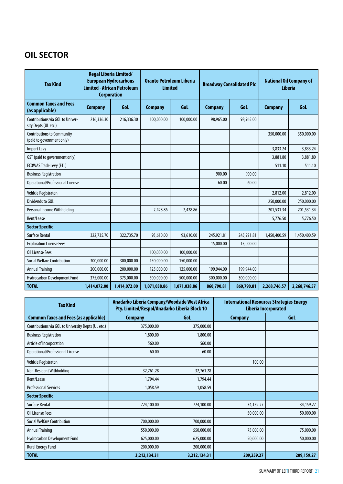## **OIL SECTOR**

| <b>Tax Kind</b>                                                | <b>Regal Liberia Limited/</b><br><b>European Hydrocarbons</b><br><b>Limited - African Petroleum</b><br><b>Corporation</b> |              | <b>Oranto Petroleum Liberia</b><br><b>Limited</b> |              | <b>Broadway Consolidated Plc</b> |            | <b>National Oil Company of</b><br><b>Liberia</b> |              |
|----------------------------------------------------------------|---------------------------------------------------------------------------------------------------------------------------|--------------|---------------------------------------------------|--------------|----------------------------------|------------|--------------------------------------------------|--------------|
| <b>Common Taxes and Fees</b><br>(as applicable)                | <b>Company</b>                                                                                                            | Gol          | <b>Company</b>                                    | GoL          | <b>Company</b>                   | <b>Gol</b> | <b>Company</b>                                   | GoL          |
| Contributions via GOL to Univer-<br>sity Depts (UL etc.)       | 216,336.30                                                                                                                | 216,336.30   | 100,000.00                                        | 100,000.00   | 98,965.00                        | 98,965.00  |                                                  |              |
| <b>Contributions to Community</b><br>(paid to government only) |                                                                                                                           |              |                                                   |              |                                  |            | 350,000.00                                       | 350,000.00   |
| Import Levy                                                    |                                                                                                                           |              |                                                   |              |                                  |            | 3,833.24                                         | 3,833.24     |
| GST (paid to government only)                                  |                                                                                                                           |              |                                                   |              |                                  |            | 3,881.80                                         | 3,881.80     |
| <b>ECOWAS Trade Levy (ETL)</b>                                 |                                                                                                                           |              |                                                   |              |                                  |            | 511.10                                           | 511.10       |
| <b>Business Registration</b>                                   |                                                                                                                           |              |                                                   |              | 900.00                           | 900.00     |                                                  |              |
| Operational/Professional License                               |                                                                                                                           |              |                                                   |              | 60.00                            | 60.00      |                                                  |              |
| Vehicle Registraton                                            |                                                                                                                           |              |                                                   |              |                                  |            | 2,812.00                                         | 2,812.00     |
| Dividends to GOL                                               |                                                                                                                           |              |                                                   |              |                                  |            | 250,000.00                                       | 250,000.00   |
| Personal Income Withholding                                    |                                                                                                                           |              | 2,428.86                                          | 2,428.86     |                                  |            | 201,531.34                                       | 201,531.34   |
| Rent/Lease                                                     |                                                                                                                           |              |                                                   |              |                                  |            | 5,776.50                                         | 5,776.50     |
| <b>Sector Specific</b>                                         |                                                                                                                           |              |                                                   |              |                                  |            |                                                  |              |
| <b>Surface Rental</b>                                          | 322,735.70                                                                                                                | 322,735.70   | 93,610.00                                         | 93,610.00    | 245,921.81                       | 245,921.81 | 1,450,400.59                                     | 1,450,400.59 |
| <b>Exploration License Fees</b>                                |                                                                                                                           |              |                                                   |              | 15,000.00                        | 15,000.00  |                                                  |              |
| <b>Oil License Fees</b>                                        |                                                                                                                           |              | 100,000.00                                        | 100,000.00   |                                  |            |                                                  |              |
| <b>Social Welfare Contribution</b>                             | 300,000.00                                                                                                                | 300,000.00   | 150,000.00                                        | 150,000.00   |                                  |            |                                                  |              |
| <b>Annual Training</b>                                         | 200,000.00                                                                                                                | 200,000.00   | 125,000.00                                        | 125,000.00   | 199,944.00                       | 199,944.00 |                                                  |              |
| Hydrocarbon Development Fund                                   | 375,000.00                                                                                                                | 375,000.00   | 500,000.00                                        | 500,000.00   | 300,000.00                       | 300,000.00 |                                                  |              |
| <b>TOTAL</b>                                                   | 1,414,072.00                                                                                                              | 1,414,072.00 | 1,071,038.86                                      | 1,071,038.86 | 860,790.81                       | 860,790.81 | 2,268,746.57                                     | 2,268,746.57 |

| <b>Tax Kind</b>                                     | Pty. Limited/Respol/Anadarko Liberia Block 10 | Anadarko Liberia Company/Woodside West Africa | <b>International Resources Strategies Energy</b><br>Liberia Incorporated |            |  |
|-----------------------------------------------------|-----------------------------------------------|-----------------------------------------------|--------------------------------------------------------------------------|------------|--|
| <b>Common Taxes and Fees (as applicable)</b>        | <b>Company</b>                                | Gol                                           | <b>Company</b>                                                           | Gol.       |  |
| Contributions via GOL to University Depts (UL etc.) | 375,000.00                                    | 375,000.00                                    |                                                                          |            |  |
| <b>Business Registration</b>                        | 1,800.00                                      | 1,800.00                                      |                                                                          |            |  |
| Article of Incorporation                            | 560.00                                        | 560.00                                        |                                                                          |            |  |
| Operational/Professional License                    | 60.00                                         | 60.00                                         |                                                                          |            |  |
| Vehicle Registraton                                 |                                               |                                               | 100.00                                                                   |            |  |
| Non-Resident Withholding                            | 32,761.28                                     | 32,761.28                                     |                                                                          |            |  |
| Rent/Lease                                          | 1,794.44                                      | 1,794.44                                      |                                                                          |            |  |
| <b>Professional Services</b>                        | 1,058.59                                      | 1,058.59                                      |                                                                          |            |  |
| <b>Sector Specific</b>                              |                                               |                                               |                                                                          |            |  |
| Surface Rental                                      | 724,100.00                                    | 724,100.00                                    | 34,159.27                                                                | 34,159.27  |  |
| Oil License Fees                                    |                                               |                                               | 50,000.00                                                                | 50,000.00  |  |
| <b>Social Welfare Contribution</b>                  | 700,000.00                                    | 700,000.00                                    |                                                                          |            |  |
| <b>Annual Training</b>                              | 550,000.00                                    | 550,000.00                                    | 75,000.00                                                                | 75,000.00  |  |
| Hydrocarbon Development Fund                        | 625,000.00                                    | 625,000.00                                    | 50,000.00                                                                | 50,000.00  |  |
| <b>Rural Energy Fund</b>                            | 200,000.00                                    | 200,000.00                                    |                                                                          |            |  |
| <b>TOTAL</b>                                        | 3,212,134.31                                  | 3,212,134.31                                  | 209,259.27                                                               | 209,159.27 |  |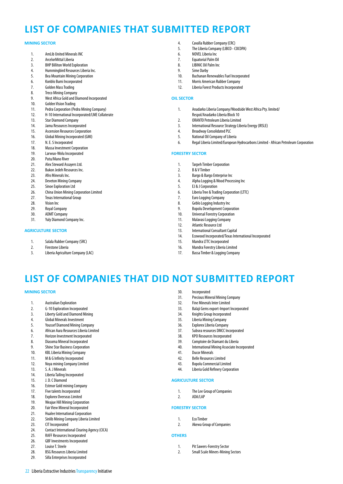# **LIST OF COMPANIES THAT SUBMITTED REPORT**

#### **MINING SECTOR**

- 1. AmLib United Minerals INC
- 2. ArcelorMittal Liberia
- 3. BHP Billiton World Exploration
- 4. Hummingbird Resources Liberia Inc.
- 5. Bea Mountain Mining Corporation
- 6. Konblo Bumi Incorporated
- 7. Golden Mass Trading
- 8. Treco Mining Company
- 9. West Africa Gold and Diamond Incorporated<br>10. Golden Vision Trading
- 10. Golden Vision Trading
- 11. Pedra Corporation (Pedra Mining Company)
- 12. H-10 International Incorporated/LME Collaterate
- 13. Star Diamond Company
- 14. Jamu Resources Incorporated
- 15. Ascension Resources Corporation
- 16. Global Mining Incorporated (GMI)<br>17. N. E. S Incorporated
- N. E. S Incorporated
- 18. Massa Investment Corporation<br>19. Iarwuo-Wolu Incorporated
- Larwuo-Wolu Incorporated
- 20. Putu/Mano River
- 21. Alex Steward Assayers Ltd.
- 22. Bukon Jedeh Resources Inc.
- 23. Afro Minerals Inc.<br>24. Deveton Mining C
- Deveton Mining Company 25. Sinoe Exploration Ltd
- 
- 26. China Union Mining Corporation Limited<br>27. Texas International Group
- Texas International Group
- 28. Vision Inc
- 29. Royal Company
- 30. ADMT Company
- 31. Yuly Diamond Company Inc.

#### **AGRICULTURE SECTOR**

- 1. Salala Rubber Company (SRC)
- 2. Firestone Liberia
- 3. Liberia Agriculture Company (LAC)
- 4. Cavalla Rubber Company (CRC)<br>5. The Liberia Company (LIBCO C
- The Liberia Company (LIBCO COCOPA)
- 6. NOVEL Liberia Inc
- 7. Equatorial Palm Oil
- 8. LIBINIC Oil Palm Inc
- 9. Sime Darby
- 10. Buchanan Renewables Fuel Incorporated 11. Morris American Rubber Company
- 12. Liberia Forest Products Incorporated
- 

#### **OIL SECTOR**

- 1. Anadarko Liberia Company/Woodside West Africa Pty. limited/ Respol/Anadarko Liberia Block 10
- 2. ORANTO Petroleum Liberia Limited
- 3. International Resource Strategy Liberia Energy (IRSLE)
- 4. Broadway Consolidated PLC
- 5. National Oil Company of Liberia
- 6. Regal Liberia Limited/European Hydrocarbons Limited African Petroleum Corporation

#### **FORESTRY SECTOR**

- 1. Tarpeh Timber Corporation
- 2. B & V Timber
- 3. Bargo & Bargo Enterprise Inc<br>4. Alpha Logging & Wood Proce
- 4. Alpha Logging & Wood Processing Inc
- 5. EJ & J Corporation
- 6. Liberia Tree & Trading Corporation (LTTC)
- Euro Logging Company
- 8. Geblo Logging Industry Inc
- 9. Bopolu Development Corporation
- 10. Universal Forestry Corporation
- 11. Malayasi Logging Company 12. Atlantic Resource Ltd.
- 13. International Consultant Capital

30. Incorporated

- 14. Ecowood Incorporated/Texas International Incorporated
- 15. Mandra LTTC Incorporated
- 16. Mandra Forestry Liberia Limited
- 17. Bassa Timber & Logging Company

31. Precious Mineral Mining Company 32. Fine Minerals Inter Limited 33. Balaji Gems export-Import Incorporated

34. Knights Group Incorporated<br>35. Liberia Mining Company Liberia Mining Company 36. Explorex Liberia Company<br>37. Subsea resources DMCC In 37. Subsea resources DMCC Incorporated<br>38. KPO Resources Incorporated KPO Resources Incorporated 39. Comptoire de Diamant du Liberia 40. International Mining Associate Incorporated<br>41 Ducor Minerals

41. Ducor Minerals 42. Belle Resources Limited 43. Bopolu Commercial Limited 44. Liberia Gold Refinery Corporation

1. The Lee Group of Companies

2. Akewa Group of Companies

1. Pit Sawers-Forestry Sector 2. Small Scale Miners-Mining Sectors

**AGRICULTURE SECTOR**

2. ADA/LAP **FORESTRY SECTOR**

1. Eco Timber

**OTHERS**

# **LIST OF COMPANIES THAT did not SUBMITTED REPORT**

#### **MINING SECTOR**

- 1. Australian Exploration
- 2. G-10 Exploration Incorporated
- 3. Liberty Gold and Diamond Mining
- 4. Global Minerals Investment
- 5. Youssef Diamond Mining Company
- 6. African Aura Resources Liberia Limited
- 7. Horizon Investment Incorporated
- 8. Diasoma Mineral Incorporated
- 9. Shine Star Business Corporation
- 10. KBL Liberia Mining Company
- 11. M & G Infinity Incorporated
- 12. Noya mining Company Limited
- 13. S. A. J Minerals<br>14. Liberia Tailing I
- Liberia Tailing Incorporated
- 
- 15. J.D. C Diamond<br>16. Estmor Gold mi **Estmor Gold mining Company**
- 17. Five talents Incorporated
- 18. Explorex Overseas Limited
- 19. Weajue Hill Mining Corporation
- 
- 20. Fair View Mineral Incorporated<br>21. Hualee International Corporation 21. Hualee International Corporation
- 22. Sinlib Mining Company Liberia Limited
- 
- 23. CIT Incorporated<br>24 Contact Internati 24. Contact International Clearing Agency (CICA)

22 Liberia Extractive Industries Transparency Initiative

- 25. RAFF Resources Incorporated
- 26. GBF Investments Incorporated
- 27. Louise T. Steele
- 28. BSG Resources Liberia Limited 29. Silla Enterprises Incorporated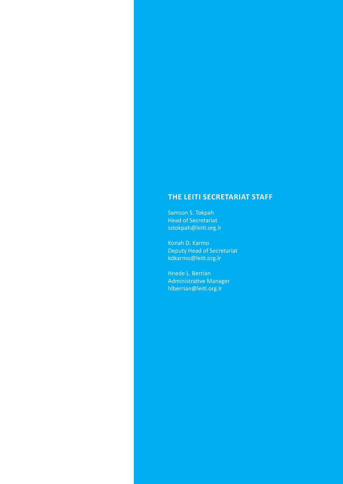### **The LEITI Secretariat Staff**

Samson S. Tokpah Head of Secretariat sstokpah@leiti.org.lr

Konah D. Karmo Deputy Head of Secretariat kdkarmo@leiti.org.lr

Hnede L. Berrian Administrative Manager hlberrian@leiti.org.lr